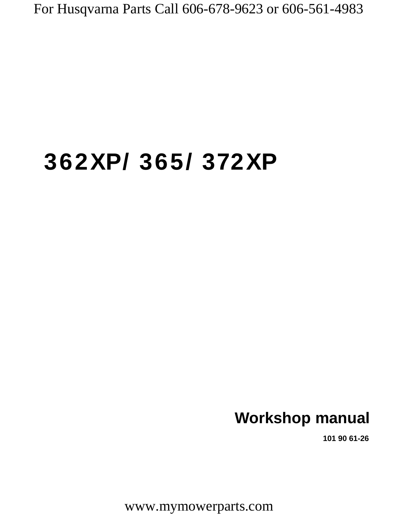# **362XP/ 365/ 372XP**

## **Workshop manual**

**101 90 61-26**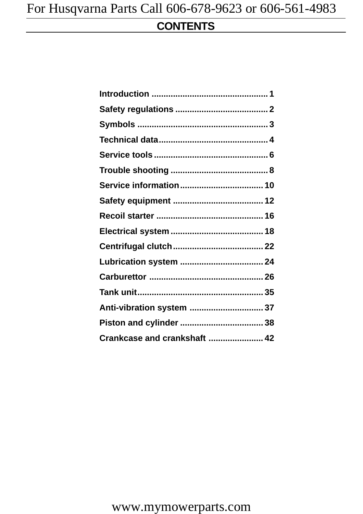### **CONTENTS**

| Lubrication system  24       |  |
|------------------------------|--|
|                              |  |
|                              |  |
| Anti-vibration system  37    |  |
|                              |  |
| Crankcase and crankshaft  42 |  |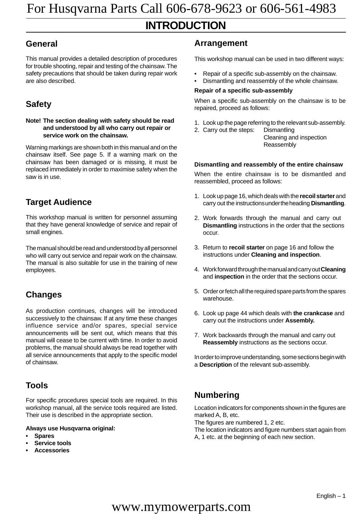### **INTRODUCTION**

#### **General**

This manual provides a detailed description of procedures for trouble shooting, repair and testing of the chainsaw. The safety precautions that should be taken during repair work are also described.

### **Safety**

#### **Note! The section dealing with safety should be read and understood by all who carry out repair or service work on the chainsaw.**

Warning markings are shown both in this manual and on the chainsaw itself. See page 5. If a warning mark on the chainsaw has been damaged or is missing, it must be replaced immediately in order to maximise safety when the saw is in use.

#### **Target Audience**

This workshop manual is written for personnel assuming that they have general knowledge of service and repair of small engines.

The manual should be read and understood by all personnel who will carry out service and repair work on the chainsaw. The manual is also suitable for use in the training of new employees.

#### **Changes**

As production continues, changes will be introduced successively to the chainsaw. If at any time these changes influence service and/or spares, special service announcements will be sent out, which means that this manual will cease to be current with time. In order to avoid problems, the manual should always be read together with all service announcements that apply to the specific model of chainsaw.

#### **Tools**

For specific procedures special tools are required. In this workshop manual, all the service tools required are listed. Their use is described in the appropriate section.

#### **Always use Husqvarna original:**

- **Spares**
- **Service tools**
- **Accessories**

#### **Arrangement**

This workshop manual can be used in two different ways:

- Repair of a specific sub-assembly on the chainsaw.
- Dismantling and reassembly of the whole chainsaw.

#### **Repair of a specific sub-assembly**

When a specific sub-assembly on the chainsaw is to be repaired, proceed as follows:

- 1. Look up the page referring to the relevant sub-assembly.
- 2. Carry out the steps: Dismantling Cleaning and inspection Reassembly

#### **Dismantling and reassembly of the entire chainsaw**

When the entire chainsaw is to be dismantled and reassembled, proceed as follows:

- 1. Look up page 16, which deals with the **recoil starter** and carry out the instructions under the heading **Dismantling**.
- 2. Work forwards through the manual and carry out **Dismantling** instructions in the order that the sections occur.
- 3. Return to **recoil starter** on page 16 and follow the instructions under **Cleaning and inspection**.
- 4. Work forward through the manual and carry out **Cleaning** and **inspection** in the order that the sections occur.
- 5. Order or fetch all the required spare parts from the spares warehouse.
- 6. Look up page 44 which deals with **the crankcase** and carry out the instructions under **Assembly.**
- 7. Work backwards through the manual and carry out **Reassembly** instructions as the sections occur.

In order to improve understanding, some sections begin with a **Description** of the relevant sub-assembly.

#### **Numbering**

Location indicators for components shown in the figures are marked A, B, etc.

The figures are numbered 1, 2 etc.

The location indicators and figure numbers start again from A, 1 etc. at the beginning of each new section.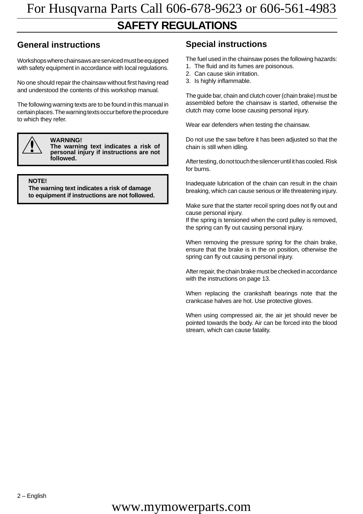### **SAFETY REGULATIONS**

### **General instructions Special instructions**

Workshops where chainsaws are serviced must be equipped with safety equipment in accordance with local regulations.

No one should repair the chainsaw without first having read and understood the contents of this workshop manual.

The following warning texts are to be found in this manual in certain places. The warning texts occur before the procedure to which they refer.



**WARNING!**

**The warning text indicates a risk of** personal injury if instructions are not **followed.**

**NOTE!**

**The warning text indicates a risk of damage to equipment if instructions are not followed.**

The fuel used in the chainsaw poses the following hazards:

- 1. The fluid and its fumes are poisonous.
- 2. Can cause skin irritation.
- 3. Is highly inflammable.

The guide bar, chain and clutch cover (chain brake) must be assembled before the chainsaw is started, otherwise the clutch may come loose causing personal injury.

Wear ear defenders when testing the chainsaw.

Do not use the saw before it has been adjusted so that the chain is still when idling.

After testing, do not touch the silencer until it has cooled. Risk for burns.

Inadequate lubrication of the chain can result in the chain breaking, which can cause serious or life threatening injury.

Make sure that the starter recoil spring does not fly out and cause personal injury.

If the spring is tensioned when the cord pulley is removed, the spring can fly out causing personal injury.

When removing the pressure spring for the chain brake, ensure that the brake is in the on position, otherwise the spring can fly out causing personal injury.

After repair, the chain brake must be checked in accordance with the instructions on page 13.

When replacing the crankshaft bearings note that the crankcase halves are hot. Use protective gloves.

When using compressed air, the air jet should never be pointed towards the body. Air can be forced into the blood stream, which can cause fatality.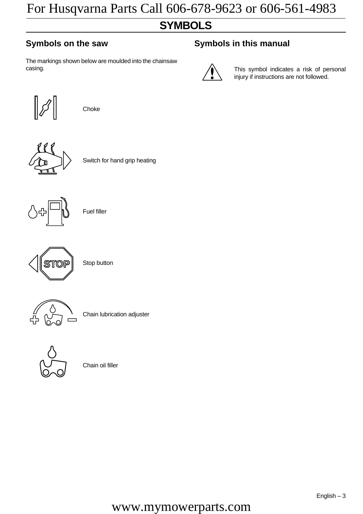### **SYMBOLS**

The markings shown below are moulded into the chainsaw casing.

#### **Symbols on the saw Symbols in this manual**



This symbol indicates a risk of personal injury if instructions are not followed.



Choke



Switch for hand grip heating



Fuel filler



Stop button



Chain lubrication adjuster



Chain oil filler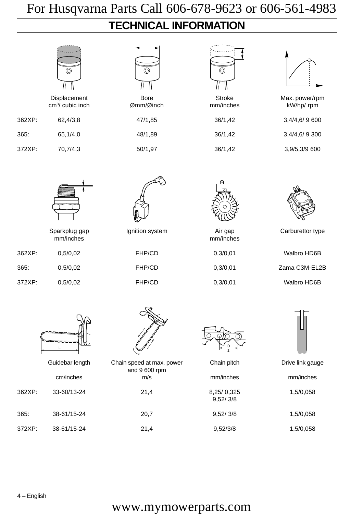## **TECHNICAL INFORMATION**

|        | $\circledcirc$<br>Displacement<br>cm <sup>3</sup> / cubic inch | $\circledcirc$<br><b>Bore</b><br>Ømm/Øinch | $\circledcirc$<br><b>Stroke</b><br>mm/inches | Max. power/rpm<br>kW/hp/ rpm |
|--------|----------------------------------------------------------------|--------------------------------------------|----------------------------------------------|------------------------------|
| 362XP: | 62,4/3,8                                                       | 47/1,85                                    | 36/1,42                                      | 3,4/4,6/9600                 |
| 365:   | 65,1/4,0                                                       | 48/1,89                                    | 36/1,42                                      | 3,4/4,6/9300                 |
| 372XP: | 70,7/4,3                                                       | 50/1,97                                    | 36/1,42                                      | 3,9/5,3/9 600                |
|        |                                                                |                                            |                                              |                              |
|        | Sparkplug gap<br>mm/inches                                     | Ignition system                            | Air gap<br>mm/inches                         | Carburettor type             |
| 362XP: | 0,5/0,02                                                       | FHP/CD                                     | 0,3/0,01                                     | Walbro HD6B                  |
| 365:   | 0,5/0,02                                                       | FHP/CD                                     | 0,3/0,01                                     | Zama C3M-EL2B                |
| 372XP: | 0,5/0,02                                                       | FHP/CD                                     | 0,3/0,01                                     | Walbro HD6B                  |
|        | ⌒                                                              |                                            |                                              |                              |
|        | Guidebar length                                                | Chain speed at max. power<br>and 9 600 rpm | Chain pitch                                  | Drive link gauge             |
|        | cm/inches                                                      | m/s                                        | mm/inches                                    | mm/inches                    |
| 362XP: | 33-60/13-24                                                    | 21,4                                       | 8,25/0,325<br>9,52/3/8                       | 1,5/0,058                    |
| 365:   | 38-61/15-24                                                    | 20,7                                       | 9,52/3/8                                     | 1,5/0,058                    |
| 372XP: | 38-61/15-24                                                    | 21,4                                       | 9,52/3/8                                     | 1,5/0,058                    |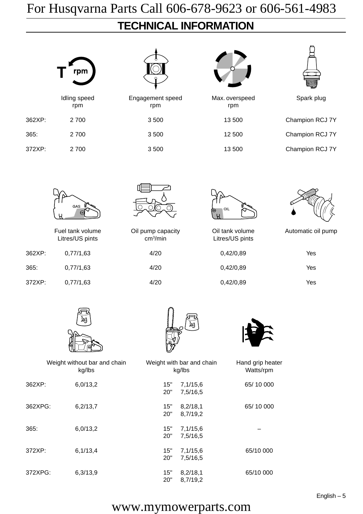### **TECHNICAL INFORMATION**

| rpm                |
|--------------------|
| Idling spee<br>rpm |

365: 2 700 3 500 12 500 Champion RCJ 7Y



Idling Spark plug speed Cling Spark plug speed Spark plug rpm rpm rpm 362XP: 2 700 3 500 13 500 Champion RCJ 7Y





372XP: 2 700 3 500 13 500 Champion RCJ 7Y



Litres/US pints cm<sup>3</sup>/min

362XP: 0,77/1,63 4/20 0,42/0,89 Yes 365: 0,77/1,63 4/20 0,42/0,89 Yes 372XP: 0,77/1,63 4/20 0,42/0,89 Yes





Litres/US pints



Fuel tank volume Cil pump capacity Cil tank volume Automatic oil pump

| Yes |
|-----|
| Yes |
| Yes |
|     |







|         | Weight without bar and chain<br>kg/lbs |            | Weight with bar and chain<br>kg/lbs | Hand grip heater<br>Watts/rpm |
|---------|----------------------------------------|------------|-------------------------------------|-------------------------------|
| 362XP:  | 6,0/13,2                               | 15"<br>20" | 7,1/15,6<br>7,5/16,5                | 65/10 000                     |
| 362XPG: | 6,2/13,7                               | 15"<br>20" | 8,2/18,1<br>8,7/19,2                | 65/10 000                     |
| 365:    | 6,0/13,2                               | 15"<br>20" | 7,1/15,6<br>7,5/16,5                |                               |
| 372XP:  | 6,1/13,4                               | 15"<br>20" | 7,1/15,6<br>7,5/16,5                | 65/10 000                     |
| 372XPG: | 6,3/13,9                               | 15"<br>20" | 8,2/18,1<br>8,7/19,2                | 65/10 000                     |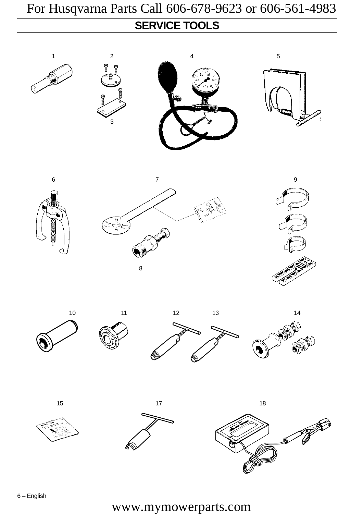## **SERVICE TOOLS** For Husqvarna Parts Call 606-678-9623 or 606-561-4983

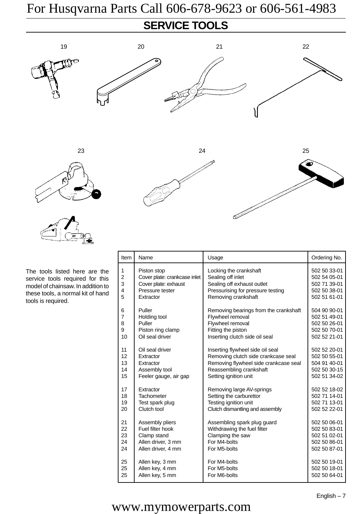### **SERVICE TOOLS**





The tools listed here are the service tools required for this model of chainsaw. In addition to these tools, a normal kit of hand tools is required.

| Item           | Name                         | Usage                                 | Ordering No. |
|----------------|------------------------------|---------------------------------------|--------------|
| 1              | Piston stop                  | Locking the crankshaft                | 502 50 33-01 |
| $\overline{c}$ | Cover plate: crankcase inlet | Sealing off inlet                     | 502 54 05-01 |
| 3              | Cover plate: exhaust         | Sealing off exhaust outlet            | 502 71 39-01 |
| 4              | Pressure tester              | Pressurising for pressure testing     | 502 50 38-01 |
| 5              | Extractor                    | Removing crankshaft                   | 502 51 61-01 |
| 6              | Puller                       | Removing bearings from the crankshaft | 504 90 90-01 |
| 7              | Holding tool                 | Flywheel removal                      | 502 51 49-01 |
| 8              | Puller                       | Flywheel removal                      | 502 50 26-01 |
| 9              | Piston ring clamp            | Fitting the piston                    | 502 50 70-01 |
| 10             | Oil seal driver              | Inserting clutch side oil seal        | 502 52 21-01 |
| 11             | Oil seal driver              | Inserting flywheel side oil seal      | 502 52 20-01 |
| 12             | Extractor                    | Removing clutch side crankcase seal   | 502 50 55-01 |
| 13             | Extractor                    | Removing flywheel side crankcase seal | 504 91 40-01 |
| 14             | Assembly tool                | Reassembling crankshaft               | 502 50 30-15 |
| 15             | Feeler gauge, air gap        | Setting ignition unit                 | 502 51 34-02 |
| 17             | Extractor                    | Removing large AV-springs             | 502 52 18-02 |
| 18             | Tachometer                   | Setting the carburettor               | 502 71 14-01 |
| 19             | Test spark plug              | Testing ignition unit                 | 502 71 13-01 |
| 20             | Clutch tool                  | Clutch dismantling and assembly       | 502 52 22-01 |
| 21             | Assembly pliers              | Assembling spark plug guard           | 502 50 06-01 |
| 22             | Fuel filter hook             | Withdrawing the fuel filter           | 502 50 83-01 |
| 23             | Clamp stand                  | Clamping the saw                      | 502 51 02-01 |
| 24             | Allen driver, 3 mm           | For M4-bolts                          | 502 50 86-01 |
| 24             | Allen driver, 4 mm           | For M5-bolts                          | 502 50 87-01 |
| 25             | Allen key, 3 mm              | For M4-bolts                          | 502 50 19-01 |
| 25             | Allen key, 4 mm              | For M5-bolts                          | 502 50 18-01 |
| 25             | Allen key, 5 mm              | For M6-bolts                          | 502 50 64-01 |

<u>e</u>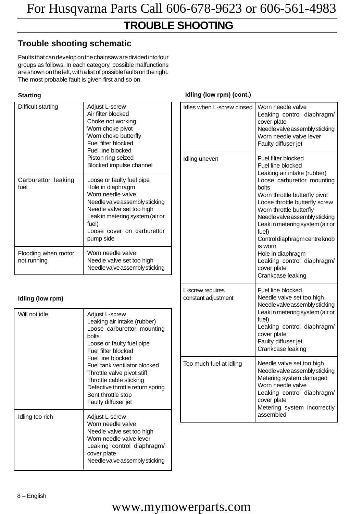### **TROUBLE SHOOTING**

### **Trouble shooting schematic**

Faults that can develop on the chainsaw are divided into four groups as follows. In each category, possible malfunctions are shown on the left, with a list of possible faults on the right. The most probable fault is given first and so on.

#### **Starting**

| Difficult starting                 | Adjust L-screw<br>Air filter blocked<br>Choke not working<br>Worn choke pivot<br>Worn choke butterfly<br>Fuel filter blocked<br>Fuel line blocked<br>Piston ring seized<br>Blocked impulse channel                        |
|------------------------------------|---------------------------------------------------------------------------------------------------------------------------------------------------------------------------------------------------------------------------|
| Carburettor leaking<br>fuel        | Loose or faulty fuel pipe<br>Hole in diaphragm<br>Worn needle valve<br>Needle valve assembly sticking<br>Needle valve set too high<br>Leak in metering system (air or<br>fuel)<br>Loose cover on carburettor<br>pump side |
| Flooding when motor<br>not running | Worn needle valve<br>Needle valve set too high<br>Needle valve assembly sticking                                                                                                                                          |

#### **Idling (low rpm)**

| Will not idle   | Adjust L-screw<br>Leaking air intake (rubber)<br>Loose carburettor mounting<br>bolts<br>Loose or faulty fuel pipe<br>Fuel filter blocked<br>Fuel line blocked<br>Fuel tank ventilator blocked<br>Throttle valve pivot stiff<br>Throttle cable sticking<br>Defective throttle return spring<br>Bent throttle stop<br>Faulty diffuser jet |
|-----------------|-----------------------------------------------------------------------------------------------------------------------------------------------------------------------------------------------------------------------------------------------------------------------------------------------------------------------------------------|
| Idling too rich | Adjust L-screw<br>Worn needle valve<br>Needle valve set too high<br>Worn needle valve lever<br>Leaking control diaphragm/<br>cover plate<br>Needle valve assembly sticking                                                                                                                                                              |

#### **Idling (low rpm) (cont.)**

| Idles when L-screw closed               | Worn needle valve<br>Leaking control diaphragm/<br>cover plate<br>Needle valve assembly sticking<br>Worn needle valve lever<br>Faulty diffuser jet                                                                                                                                                                                                                                                                            |
|-----------------------------------------|-------------------------------------------------------------------------------------------------------------------------------------------------------------------------------------------------------------------------------------------------------------------------------------------------------------------------------------------------------------------------------------------------------------------------------|
| Idling uneven                           | Fuel filter blocked<br>Fuel line blocked<br>Leaking air intake (rubber)<br>Loose carburettor mounting<br>bolts<br>Worn throttle butterfly pivot<br>Loose throttle butterfly screw<br>Worn throttle butterfly<br>Needle valve assembly sticking<br>Leak in metering system (air or<br>fuel)<br>Control diaphragm centre knob<br>is worn<br>Hole in diaphragm<br>Leaking control diaphragm/<br>cover plate<br>Crankcase leaking |
| L-screw requires<br>constant adjustment | Fuel line blocked<br>Needle valve set too high<br>Needle valve assembly sticking<br>Leak in metering system (air or<br>fuel)<br>Leaking control diaphragm/<br>cover plate<br>Faulty diffuser jet<br>Crankcase leaking                                                                                                                                                                                                         |
| Too much fuel at idling                 | Needle valve set too high<br>Needle valve assembly sticking<br>Metering system damaged<br>Worn needle valve<br>Leaking control diaphragm/<br>cover plate<br>Metering system incorrectly<br>assembled                                                                                                                                                                                                                          |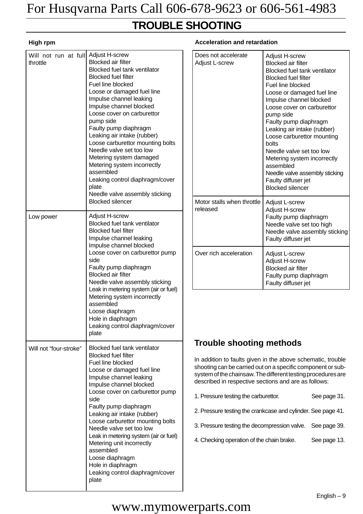### **TROUBLE SHOOTING**

#### **High rpm**

| Will not run at full Adjust H-screw<br>throttle | <b>Blocked air filter</b><br><b>Blocked fuel tank ventilator</b><br><b>Blocked fuel filter</b><br>Fuel line blocked<br>Loose or damaged fuel line<br>Impulse channel leaking<br>Impulse channel blocked<br>Loose cover on carburettor<br>pump side<br>Faulty pump diaphragm<br>Leaking air intake (rubber)<br>Loose carburettor mounting bolts<br>Needle valve set too low<br>Metering system damaged<br>Metering system incorrectly<br>assembled<br>Leaking control diaphragm/cover<br>plate<br>Needle valve assembly sticking<br><b>Blocked silencer</b> |
|-------------------------------------------------|------------------------------------------------------------------------------------------------------------------------------------------------------------------------------------------------------------------------------------------------------------------------------------------------------------------------------------------------------------------------------------------------------------------------------------------------------------------------------------------------------------------------------------------------------------|
| Low power                                       | Adjust H-screw<br><b>Blocked fuel tank ventilator</b><br><b>Blocked fuel filter</b><br>Impulse channel leaking<br>Impulse channel blocked<br>Loose cover on carburettor pump<br>side<br>Faulty pump diaphragm<br><b>Blocked air filter</b><br>Needle valve assembly sticking<br>Leak in metering system (air or fuel)<br>Metering system incorrectly<br>assembled<br>Loose diaphragm<br>Hole in diaphragm<br>Leaking control diaphragm/cover<br>plate                                                                                                      |
| Will not "four-stroke"                          | Blocked fuel tank ventilator<br><b>Blocked fuel filter</b><br>Fuel line blocked<br>Loose or damaged fuel line<br>Impulse channel leaking<br>Impulse channel blocked<br>Loose cover on carburettor pump<br>side<br>Faulty pump diaphragm<br>Leaking air intake (rubber)<br>Loose carburettor mounting bolts<br>Needle valve set too low<br>Leak in metering system (air or fuel)<br>Metering unit incorrectly<br>assembled<br>Loose diaphragm<br>Hole in diaphragm<br>Leaking control diaphragm/cover<br>plate                                              |

#### **Acceleration and retardation**

| Does not accelerate<br><b>Adjust L-screw</b> | Adjust H-screw<br><b>Blocked air filter</b><br><b>Blocked fuel tank ventilator</b><br><b>Blocked fuel filter</b><br>Fuel line blocked<br>Loose or damaged fuel line<br>Impulse channel blocked<br>Loose cover on carburettor<br>pump side<br>Faulty pump diaphragm<br>Leaking air intake (rubber)<br>Loose carburettor mounting<br>bolts<br>Needle valve set too low<br>Metering system incorrectly<br>assembled<br>Needle valve assembly sticking<br>Faulty diffuser jet<br><b>Blocked silencer</b> |
|----------------------------------------------|------------------------------------------------------------------------------------------------------------------------------------------------------------------------------------------------------------------------------------------------------------------------------------------------------------------------------------------------------------------------------------------------------------------------------------------------------------------------------------------------------|
| Motor stalls when throttle<br>released       | Adjust L-screw<br>Adjust H-screw<br>Faulty pump diaphragm<br>Needle valve set too high<br>Needle valve assembly sticking<br>Faulty diffuser jet                                                                                                                                                                                                                                                                                                                                                      |
| Over rich acceleration                       | Adjust L-screw<br>Adjust H-screw<br><b>Blocked air filter</b><br>Faulty pump diaphragm<br>Faulty diffuser jet                                                                                                                                                                                                                                                                                                                                                                                        |

### **Trouble shooting methods**

In addition to faults given in the above schematic, trouble shooting can be carried out on a specific component or subsystem of the chainsaw. The different testing procedures are described in respective sections and are as follows:

- 1. Pressure testing the carburettor. See page 31.
- 2. Pressure testing the crankcase and cylinder. See page 41.
- 3. Pressure testing the decompression valve. See page 39.
- 4. Checking operation of the chain brake. See page 13.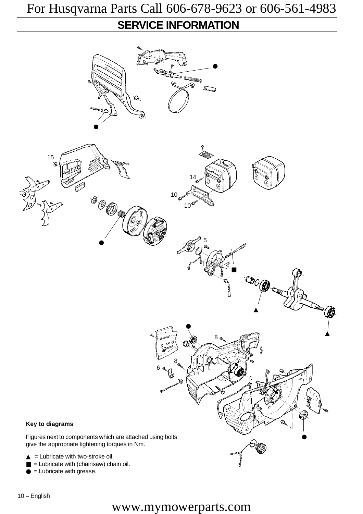### **SERVICE INFORMATION**



 $\bullet$  = Lubricate with grease.

10 – English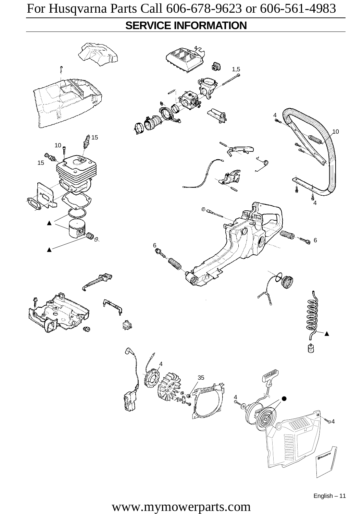### **SERVICE INFORMATION**

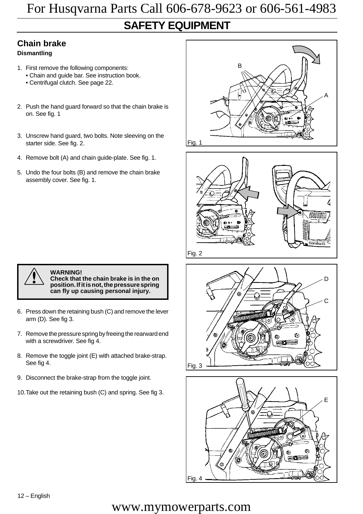### **SAFETY EQUIPMENT** For Husqvarna Parts Call 606-678-9623 or 606-561-4983

#### **Chain brake**

#### **Dismantling**

- 1. First remove the following components:
	- Chain and guide bar. See instruction book.
	- Centrifugal clutch. See page 22.
- 2. Push the hand guard forward so that the chain brake is on. See fig. 1
- 3. Unscrew hand guard, two bolts. Note sleeving on the starter side. See fig. 2.
- 4. Remove bolt (A) and chain guide-plate. See fig. 1.
- 5. Undo the four bolts (B) and remove the chain brake assembly cover. See fig. 1.

![](_page_13_Picture_10.jpeg)

#### ! **WARNING!**

**Check that the chain brake is in the on position. If it is not, the pressure spring can fly up causing personal injury.**

- 6. Press down the retaining bush (C) and remove the lever arm (D). See fig 3.
- 7. Remove the pressure spring by freeing the rearward end with a screwdriver. See fig 4.
- 8. Remove the toggle joint (E) with attached brake-strap. See fig 4.
- 9. Disconnect the brake-strap from the toggle joint.
- 10.Take out the retaining bush (C) and spring. See fig 3.

![](_page_13_Figure_18.jpeg)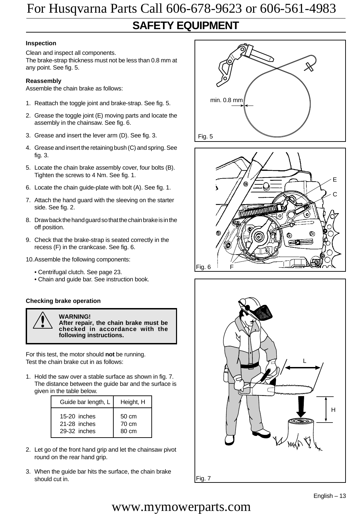### **SAFETY EQUIPMENT**

#### **Inspection**

Clean and inspect all components. The brake-strap thickness must not be less than 0.8 mm at any point. See fig. 5.

#### **Reassembly**

Assemble the chain brake as follows:

- 1. Reattach the toggle joint and brake-strap. See fig. 5.
- 2. Grease the toggle joint (E) moving parts and locate the assembly in the chainsaw. See fig. 6.
- 3. Grease and insert the lever arm (D). See fig. 3.
- 4. Grease and insert the retaining bush (C) and spring. See fig. 3.
- 5. Locate the chain brake assembly cover, four bolts (B). Tighten the screws to 4 Nm. See fig. 1.
- 6. Locate the chain guide-plate with bolt (A). See fig. 1.
- 7. Attach the hand guard with the sleeving on the starter side. See fig. 2.
- 8. Draw back the hand guard so that the chain brake is in the off position.
- 9. Check that the brake-strap is seated correctly in the recess (F) in the crankcase. See fig. 6.
- 10.Assemble the following components:
	- Centrifugal clutch. See page 23.
	- Chain and guide bar. See instruction book.

#### **Checking brake operation**

![](_page_14_Picture_19.jpeg)

! **WARNING! After repair, the chain brake must be checked in accordance with the following instructions.**

For this test, the motor should **not** be running. Test the chain brake cut in as follows:

1. Hold the saw over a stable surface as shown in fig. 7. The distance between the guide bar and the surface is given in the table below.

| Guide bar length, L | Height, H |
|---------------------|-----------|
| $15-20$ inches      | 50 cm     |
| 21-28 inches        | 70 cm     |
| 29-32 inches        | 80 cm     |

- 2. Let go of the front hand grip and let the chainsaw pivot round on the rear hand grip.
- 3. When the guide bar hits the surface, the chain brake should cut in.

![](_page_14_Picture_26.jpeg)

![](_page_14_Picture_27.jpeg)

![](_page_14_Picture_28.jpeg)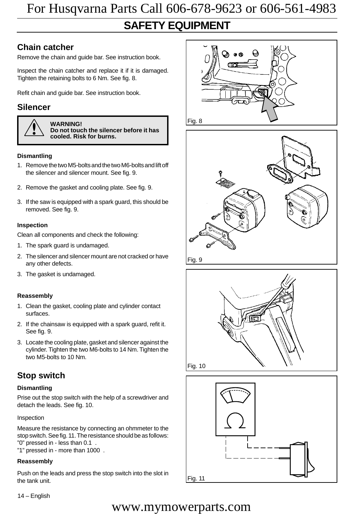### **SAFETY EQUIPMENT** For Husqvarna Parts Call 606-678-9623 or 606-561-4983

### **Chain catcher**

Remove the chain and guide bar. See instruction book.

Inspect the chain catcher and replace it if it is damaged. Tighten the retaining bolts to 6 Nm. See fig. 8.

Refit chain and guide bar. See instruction book.

#### **Silencer**

![](_page_15_Picture_6.jpeg)

! **WARNING! Do not touch the silencer before it has cooled. Risk for burns.**

#### **Dismantling**

- 1. Remove the two M5-bolts and the two M6-bolts and lift off the silencer and silencer mount. See fig. 9.
- 2. Remove the gasket and cooling plate. See fig. 9.
- 3. If the saw is equipped with a spark guard, this should be removed. See fig. 9.

#### **Inspection**

Clean all components and check the following:

- 1. The spark guard is undamaged.
- 2. The silencer and silencer mount are not cracked or have any other defects.
- 3. The gasket is undamaged.

#### **Reassembly**

- 1. Clean the gasket, cooling plate and cylinder contact surfaces.
- 2. If the chainsaw is equipped with a spark guard, refit it. See fig. 9.
- 3. Locate the cooling plate, gasket and silencer against the cylinder. Tighten the two M6-bolts to 14 Nm. Tighten the two M5-bolts to 10 Nm.

#### **Stop switch**

#### **Dismantling**

Prise out the stop switch with the help of a screwdriver and detach the leads. See fig. 10.

#### Inspection

Measure the resistance by connecting an ohmmeter to the stop switch. See fig. 11. The resistance should be as follows: "0" pressed in - less than 0.1 .

"1" pressed in - more than 1000 .

#### **Reassembly**

Push on the leads and press the stop switch into the slot in the tank unit.

![](_page_15_Picture_29.jpeg)

![](_page_15_Picture_30.jpeg)

![](_page_15_Figure_31.jpeg)

Fig. 10

![](_page_15_Figure_33.jpeg)

#### 14 – English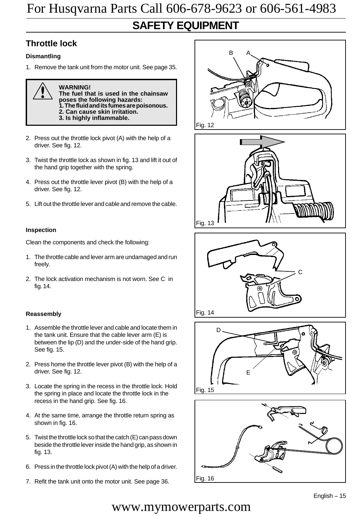### **SAFETY EQUIPMENT**

### **Throttle lock**

#### **Dismantling**

1. Remove the tank unit from the motor unit. See page 35.

![](_page_16_Picture_5.jpeg)

! **WARNING! The fuel that is used in the chainsaw poses the following hazards: 1. The fluid and its fumes are poisonous. 2. Can cause skin irritation. 3. Is highly inflammable.**

- 2. Press out the throttle lock pivot (A) with the help of a driver. See fig. 12.
- 3. Twist the throttle lock as shown in fig. 13 and lift it out of the hand grip together with the spring.
- 4. Press out the throttle lever pivot (B) with the help of a driver. See fig. 12.
- 5. Lift out the throttle lever and cable and remove the cable.

#### **Inspection**

Clean the components and check the following:

- 1. The throttle cable and lever arm are undamaged and run freely.
- 2. The lock activation mechanism is not worn. See C in fig.14.

#### **Reassembly**

- 1. Assemble the throttle lever and cable and locate them in the tank unit. Ensure that the cable lever arm (E) is between the lip (D) and the under-side of the hand grip. See fig. 15.
- 2. Press home the throttle lever pivot (B) with the help of a driver. See fig. 12.
- 3. Locate the spring in the recess in the throttle lock. Hold the spring in place and locate the throttle lock in the recess in the hand grip. See fig. 16.
- 4. At the same time, arrange the throttle return spring as shown in fig. 16.
- 5. Twist the throttle lock so that the catch (E) can pass down beside the throttle lever inside the hand grip, as shown in fig. 13.
- 6. Press in the throttle lock pivot (A) with the help of a driver.
- 7. Refit the tank unit onto the motor unit. See page 36.

![](_page_16_Picture_23.jpeg)

![](_page_16_Picture_24.jpeg)

![](_page_16_Figure_25.jpeg)

![](_page_16_Picture_26.jpeg)

![](_page_16_Picture_27.jpeg)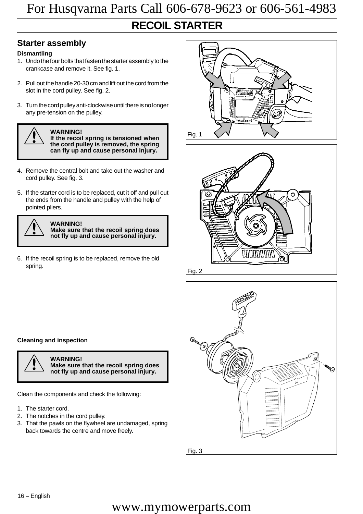### **RECOIL STARTER**

#### **Starter assembly**

#### **Dismantling**

- 1. Undo the four bolts that fasten the starter assembly to the crankcase and remove it. See fig. 1.
- 2. Pull out the handle 20-30 cm and lift out the cord from the slot in the cord pulley. See fig. 2.
- 3. Turn the cord pulley anti-clockwise until there is no longer any pre-tension on the pulley.

![](_page_17_Picture_7.jpeg)

**1**<br> **If the recoil spring is tensioned when**<br> **If the cord pulloy is removed the spring the cord pulley is removed, the spring can fly up and cause personal injury.**

- 4. Remove the central bolt and take out the washer and cord pulley. See fig. 3.
- 5. If the starter cord is to be replaced, cut it off and pull out the ends from the handle and pulley with the help of pointed pliers.

![](_page_17_Picture_12.jpeg)

**WARNING!**<br>
Make sure that the recoil spring does<br>
not fly up and cause personal injury **not fly up and cause personal injury.**

6. If the recoil spring is to be replaced, remove the old spring.

![](_page_17_Picture_16.jpeg)

![](_page_17_Picture_17.jpeg)

![](_page_17_Picture_18.jpeg)

#### **Cleaning and inspection**

![](_page_17_Picture_20.jpeg)

! **WARNING! Make sure that the recoil spring does not fly up and cause personal injury.**

Clean the components and check the following:

- 1. The starter cord.
- 2. The notches in the cord pulley.
- 3. That the pawls on the flywheel are undamaged, spring back towards the centre and move freely.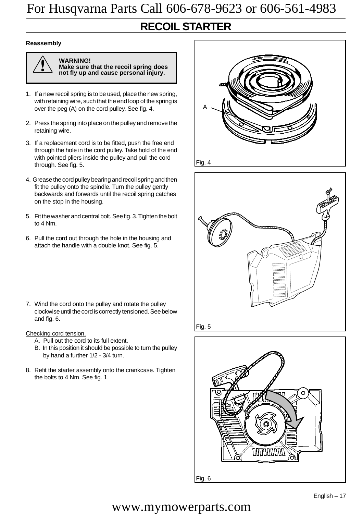### **RECOIL STARTER**

#### **Reassembly**

![](_page_18_Picture_3.jpeg)

! **WARNING! Make sure that the recoil spring does not fly up and cause personal injury.**

- 1. If a new recoil spring is to be used, place the new spring, with retaining wire, such that the end loop of the spring is over the peg (A) on the cord pulley. See fig. 4.
- 2. Press the spring into place on the pulley and remove the retaining wire.
- 3. If a replacement cord is to be fitted, push the free end through the hole in the cord pulley. Take hold of the end with pointed pliers inside the pulley and pull the cord through. See fig. 5.
- 4. Grease the cord pulley bearing and recoil spring and then fit the pulley onto the spindle. Turn the pulley gently backwards and forwards until the recoil spring catches on the stop in the housing.
- 5. Fit the washer and central bolt. See fig. 3. Tighten the bolt to 4 Nm.
- 6. Pull the cord out through the hole in the housing and attach the handle with a double knot. See fig. 5.
- 7. Wind the cord onto the pulley and rotate the pulley clockwise until the cord is correctly tensioned. See below and fig. 6.
- Checking cord tension.
	- A. Pull out the cord to its full extent.
	- B. In this position it should be possible to turn the pulley by hand a further 1/2 - 3/4 turn.
- 8. Refit the starter assembly onto the crankcase. Tighten the bolts to 4 Nm. See fig. 1.

![](_page_18_Picture_16.jpeg)

![](_page_18_Picture_17.jpeg)

![](_page_18_Picture_18.jpeg)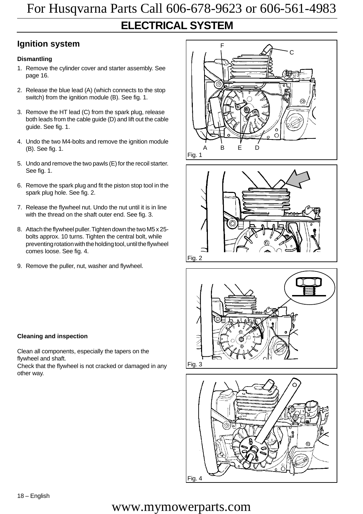### **Ignition system**

#### **Dismantling**

- 1. Remove the cylinder cover and starter assembly. See page 16.
- 2. Release the blue lead (A) (which connects to the stop switch) from the ignition module (B). See fig. 1.
- 3. Remove the HT lead (C) from the spark plug, release both leads from the cable guide (D) and lift out the cable guide. See fig. 1.
- 4. Undo the two M4-bolts and remove the ignition module (B). See fig. 1.
- 5. Undo and remove the two pawls (E) for the recoil starter. See fig. 1.
- 6. Remove the spark plug and fit the piston stop tool in the spark plug hole. See fig. 2.
- 7. Release the flywheel nut. Undo the nut until it is in line with the thread on the shaft outer end. See fig. 3.
- 8. Attach the flywheel puller. Tighten down the two M5 x 25 bolts approx. 10 turns. Tighten the central bolt, while preventing rotation with the holding tool, until the flywheel comes loose. See fig. 4.
- 9. Remove the puller, nut, washer and flywheel.

#### **Cleaning and inspection**

Clean all components, especially the tapers on the flywheel and shaft.

Check that the flywheel is not cracked or damaged in any other way.

![](_page_19_Picture_15.jpeg)

![](_page_19_Picture_16.jpeg)

![](_page_19_Picture_17.jpeg)

![](_page_19_Picture_18.jpeg)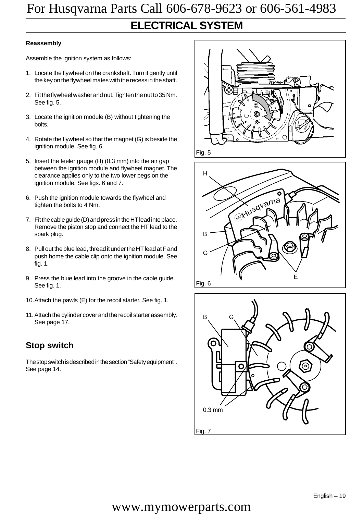### **ELECTRICAL SYSTEM**

#### **Reassembly**

Assemble the ignition system as follows:

- 1. Locate the flywheel on the crankshaft. Turn it gently until the key on the flywheel mates with the recess in the shaft.
- 2. Fit the flywheel washer and nut. Tighten the nut to 35 Nm. See fig. 5.
- 3. Locate the ignition module (B) without tightening the bolts.
- 4. Rotate the flywheel so that the magnet (G) is beside the ignition module. See fig. 6.
- 5. Insert the feeler gauge (H) (0.3 mm) into the air gap between the ignition module and flywheel magnet. The clearance applies only to the two lower pegs on the ignition module. See figs. 6 and 7.
- 6. Push the ignition module towards the flywheel and tighten the bolts to 4 Nm.
- 7. Fit the cable guide (D) and press in the HT lead into place. Remove the piston stop and connect the HT lead to the spark plug.
- 8. Pull out the blue lead, thread it under the HT lead at F and push home the cable clip onto the ignition module. See fig. 1.
- 9. Press the blue lead into the groove in the cable guide. See fig. 1.
- 10.Attach the pawls (E) for the recoil starter. See fig. 1.
- 11.Attach the cylinder cover and the recoil starter assembly. See page 17.

#### **Stop switch**

The stop switch is described in the section "Safety equipment". See page 14.

![](_page_20_Picture_17.jpeg)

![](_page_20_Figure_18.jpeg)

![](_page_20_Figure_19.jpeg)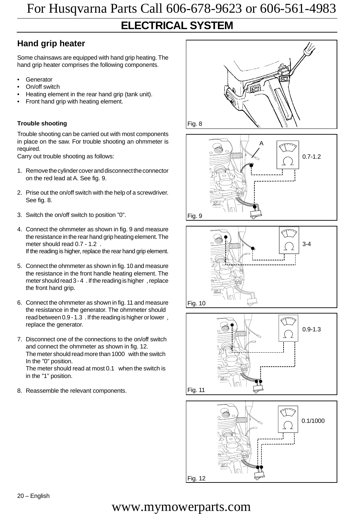### **ELECTRICAL SYSTEM**

### **Hand grip heater**

Some chainsaws are equipped with hand grip heating. The hand grip heater comprises the following components.

- **Generator**
- On/off switch
- Heating element in the rear hand grip (tank unit).
- Front hand grip with heating element.

#### **Trouble shooting**

Trouble shooting can be carried out with most components in place on the saw. For trouble shooting an ohmmeter is required.

Carry out trouble shooting as follows:

- 1. Remove the cylinder cover and disconnect the connector on the red lead at A. See fig. 9.
- 2. Prise out the on/off switch with the help of a screwdriver. See fig. 8.
- 3. Switch the on/off switch to position "0".
- 4. Connect the ohmmeter as shown in fig. 9 and measure the resistance in the rear hand grip heating element. The meter should read 0.7 - 1.2 . If the reading is higher, replace the rear hand grip element.
- 5. Connect the ohmmeter as shown in fig. 10 and measure the resistance in the front handle heating element. The meter should read 3 - 4 . If the reading is higher , replace the front hand grip.
- 6. Connect the ohmmeter as shown in fig. 11 and measure the resistance in the generator. The ohmmeter should read between 0.9 - 1.3 . If the reading is higher or lower , replace the generator.
- 7. Disconnect one of the connections to the on/off switch and connect the ohmmeter as shown in fig. 12. The meter should read more than 1000 with the switch In the "0" position.

The meter should read at most 0.1 when the switch is in the "1" position.

8. Reassemble the relevant components.

![](_page_21_Figure_20.jpeg)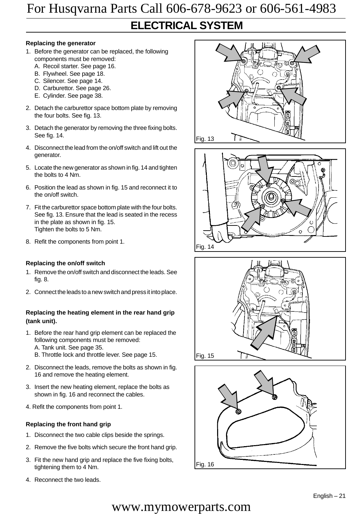### **ELECTRICAL SYSTEM**

#### **Replacing the generator**

- 1. Before the generator can be replaced, the following components must be removed:
	- A. Recoil starter. See page 16.
	- B. Flywheel. See page 18.
	- C. Silencer. See page 14.
	- D. Carburettor. See page 26.
	- E. Cylinder. See page 38.
- 2. Detach the carburettor space bottom plate by removing the four bolts. See fig. 13.
- 3. Detach the generator by removing the three fixing bolts. See fig. 14.
- 4. Disconnect the lead from the on/off switch and lift out the generator.
- 5. Locate the new generator as shown in fig. 14 and tighten the bolts to 4 Nm.
- 6. Position the lead as shown in fig. 15 and reconnect it to the on/off switch.
- 7. Fit the carburettor space bottom plate with the four bolts. See fig. 13. Ensure that the lead is seated in the recess in the plate as shown in fig. 15. Tighten the bolts to 5 Nm.
- 8. Refit the components from point 1.

#### **Replacing the on/off switch**

- 1. Remove the on/off switch and disconnect the leads. See fig. 8.
- 2. Connect the leads to a new switch and press it into place.

#### **Replacing the heating element in the rear hand grip (tank unit).**

- 1. Before the rear hand grip element can be replaced the following components must be removed:
	- A. Tank unit. See page 35.
	- B. Throttle lock and throttle lever. See page 15.
- 2. Disconnect the leads, remove the bolts as shown in fig. 16 and remove the heating element.
- 3. Insert the new heating element, replace the bolts as shown in fig. 16 and reconnect the cables.
- 4. Refit the components from point 1.

#### **Replacing the front hand grip**

- 1. Disconnect the two cable clips beside the springs.
- 2. Remove the five bolts which secure the front hand grip.
- 3. Fit the new hand grip and replace the five fixing bolts, tightening them to 4 Nm.
- 4. Reconnect the two leads.

![](_page_22_Picture_31.jpeg)

![](_page_22_Picture_32.jpeg)

![](_page_22_Figure_33.jpeg)

![](_page_22_Figure_34.jpeg)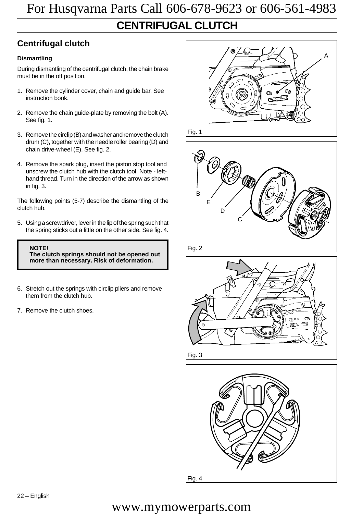### **Centrifugal clutch**

#### **Dismantling**

During dismantling of the centrifugal clutch, the chain brake must be in the off position.

- 1. Remove the cylinder cover, chain and guide bar. See instruction book.
- 2. Remove the chain guide-plate by removing the bolt (A). See fig. 1.
- 3. Remove the circlip (B) and washer and remove the clutch drum (C), together with the needle roller bearing (D) and chain drive-wheel (E). See fig. 2.
- 4. Remove the spark plug, insert the piston stop tool and unscrew the clutch hub with the clutch tool. Note - lefthand thread. Turn in the direction of the arrow as shown in fig. 3.

The following points (5-7) describe the dismantling of the clutch hub.

5. Using a screwdriver, lever in the lip of the spring such that the spring sticks out a little on the other side. See fig. 4.

**NOTE! The clutch springs should not be opened out more than necessary. Risk of deformation.**

- 6. Stretch out the springs with circlip pliers and remove them from the clutch hub.
- 7. Remove the clutch shoes.

![](_page_23_Picture_13.jpeg)

Fig. 4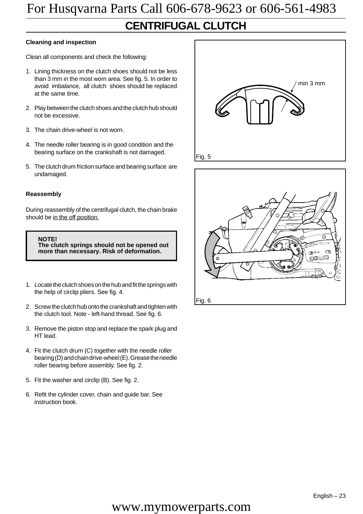### **CENTRIFUGAL CLUTCH**

#### **Cleaning and inspection**

Clean all components and check the following:

- 1. Lining thickness on the clutch shoes should not be less than 3 mm in the most worn area. See fig. 5. In order to avoid imbalance, all clutch shoes should be replaced at the same time.
- 2. Play between the clutch shoes and the clutch hub should not be excessive.
- 3. The chain drive-wheel is not worn.
- 4. The needle roller bearing is in good condition and the bearing surface on the crankshaft is not damaged.
- 5. The clutch drum friction surface and bearing surface are undamaged.

#### **Reassembly**

During reassembly of the centrifugal clutch, the chain brake should be in the off position.

**NOTE! The clutch springs should not be opened out more than necessary. Risk of deformation.**

- 1. Locate the clutch shoes on the hub and fit the springs with the help of circlip pliers. See fig. 4.
- 2. Screw the clutch hub onto the crankshaft and tighten with the clutch tool. Note - left-hand thread. See fig. 6.
- 3. Remove the piston stop and replace the spark plug and HT lead.
- 4. Fit the clutch drum (C) together with the needle roller bearing (D) and chain drive-wheel (E). Grease the needle roller bearing before assembly. See fig. 2.
- 5. Fit the washer and circlip (B). See fig. 2.
- 6. Refit the cylinder cover, chain and guide bar. See instruction book.

![](_page_24_Picture_18.jpeg)

![](_page_24_Picture_19.jpeg)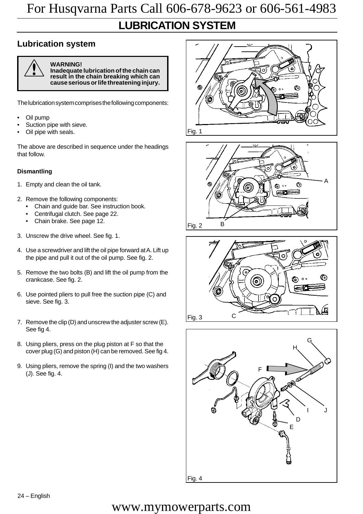### **LUBRICATION SYSTEM**

### **Lubrication system**

![](_page_25_Picture_3.jpeg)

! **WARNING! Inadequate lubrication of the chain can result in the chain breaking which can cause serious or life threatening injury.**

The lubrication system comprises the following components:

- Oil pump
- Suction pipe with sieve.
- Oil pipe with seals.

The above are described in sequence under the headings that follow.

#### **Dismantling**

- 1. Empty and clean the oil tank.
- 2. Remove the following components:
	- Chain and guide bar. See instruction book.
	- Centrifugal clutch. See page 22.
	- Chain brake. See page 12.
- 3. Unscrew the drive wheel. See fig. 1.
- 4. Use a screwdriver and lift the oil pipe forward at A. Lift up the pipe and pull it out of the oil pump. See fig. 2.
- 5. Remove the two bolts (B) and lift the oil pump from the crankcase. See fig. 2.
- 6. Use pointed pliers to pull free the suction pipe (C) and sieve. See fig. 3.
- 7. Remove the clip (D) and unscrew the adjuster screw (E). See fig 4.
- 8. Using pliers, press on the plug piston at F so that the cover plug (G) and piston (H) can be removed. See fig 4.
- 9. Using pliers, remove the spring (I) and the two washers (J). See fig. 4.

![](_page_25_Picture_23.jpeg)

![](_page_25_Figure_24.jpeg)

![](_page_25_Figure_25.jpeg)

![](_page_25_Figure_26.jpeg)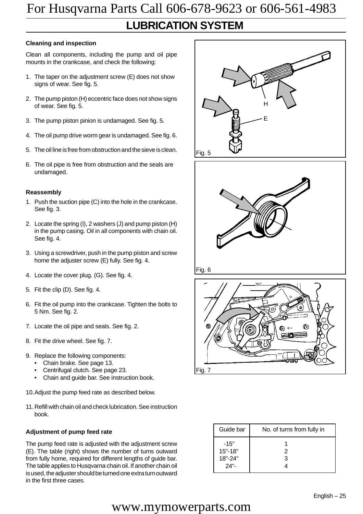### **LUBRICATION SYSTEM**

#### **Cleaning and inspection**

Clean all components, including the pump and oil pipe mounts in the crankcase, and check the following:

- 1. The taper on the adjustment screw (E) does not show signs of wear. See fig. 5.
- 2. The pump piston (H) eccentric face does not show signs of wear. See fig. 5.
- 3. The pump piston pinion is undamaged. See fig. 5.
- 4. The oil pump drive worm gear is undamaged. See fig. 6.
- 5. The oil line is free from obstruction and the sieve is clean.
- 6. The oil pipe is free from obstruction and the seals are undamaged.

#### **Reassembly**

- 1. Push the suction pipe (C) into the hole in the crankcase. See fig. 3.
- 2. Locate the spring (I), 2 washers (J) and pump piston (H) in the pump casing. Oil in all components with chain oil. See fig. 4.
- 3. Using a screwdriver, push in the pump piston and screw home the adjuster screw (E) fully. See fig. 4.
- 4. Locate the cover plug. (G). See fig. 4.
- 5. Fit the clip (D). See fig. 4.
- 6. Fit the oil pump into the crankcase. Tighten the bolts to 5 Nm. See fig. 2.
- 7. Locate the oil pipe and seals. See fig. 2.
- 8. Fit the drive wheel. See fig. 7.
- 9. Replace the following components:
	- Chain brake. See page 13.
	- Centrifugal clutch. See page 23.
	- Chain and guide bar. See instruction book.
- 10.Adjust the pump feed rate as described below.
- 11.Refill with chain oil and check lubrication. See instruction book.

#### **Adjustment of pump feed rate**

The pump feed rate is adjusted with the adjustment screw (E). The table (right) shows the number of turns outward from fully home, required for different lengths of guide bar. The table applies to Husqvarna chain oil. If another chain oil is used, the adjuster should be turned one extra turn outward in the first three cases.

![](_page_26_Picture_27.jpeg)

![](_page_26_Picture_28.jpeg)

![](_page_26_Picture_29.jpeg)

![](_page_26_Picture_30.jpeg)

| Guide bar                                       | No. of turns from fully in |
|-------------------------------------------------|----------------------------|
| $-15"$<br>$15" - 18"$<br>$18" - 24"$<br>$24"$ - | 2<br>З                     |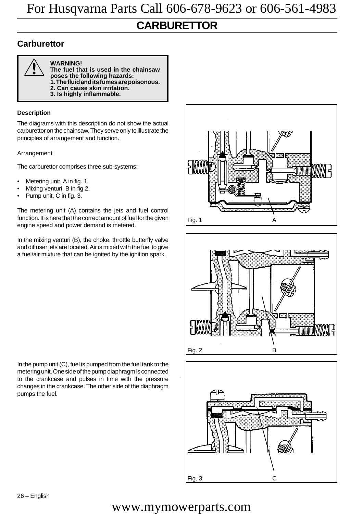### **CARBURETTOR**

#### **Carburettor**

![](_page_27_Picture_3.jpeg)

**WARNING!**

**The fuel that is used in the chainsaw poses the following hazards: 1. The fluid and its fumes are poisonous. 2. Can cause skin irritation.**

**3. Is highly inflammable.**

#### **Description**

The diagrams with this description do not show the actual carburettor on the chainsaw. They serve only to illustrate the principles of arrangement and function.

#### **Arrangement**

The carburettor comprises three sub-systems:

- Metering unit, A in fig. 1.
- Mixing venturi, B in fig 2.
- Pump unit, C in fig. 3.

The metering unit (A) contains the jets and fuel control function. It is here that the correct amount of fuel for the given engine speed and power demand is metered.

In the mixing venturi (B), the choke, throttle butterfly valve and diffuser jets are located. Air is mixed with the fuel to give a fuel/air mixture that can be ignited by the ignition spark.

In the pump unit (C), fuel is pumped from the fuel tank to the metering unit. One side of the pump diaphragm is connected to the crankcase and pulses in time with the pressure changes in the crankcase. The other side of the diaphragm pumps the fuel.

![](_page_27_Figure_17.jpeg)

![](_page_27_Figure_18.jpeg)

![](_page_27_Figure_19.jpeg)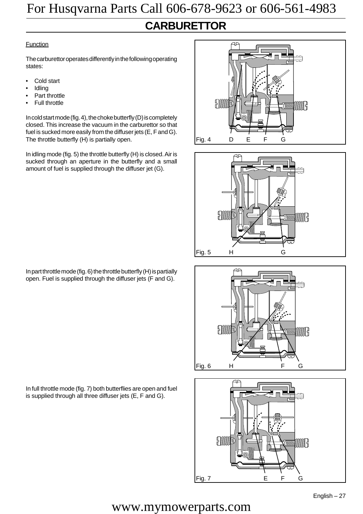### **CARBURETTOR**

#### Function

The carburettor operates differently in the following operating states:

- Cold start
- **Idling**
- Part throttle
- **Full throttle**

In cold start mode (fig. 4), the choke butterfly (D) is completely closed. This increase the vacuum in the carburettor so that fuel is sucked more easily from the diffuser jets (E, F and G). The throttle butterfly (H) is partially open.

In idling mode (fig. 5) the throttle butterfly (H) is closed. Air is sucked through an aperture in the butterfly and a small amount of fuel is supplied through the diffuser jet (G).

![](_page_28_Figure_10.jpeg)

In full throttle mode (fig. 7) both butterflies are open and fuel is supplied through all three diffuser jets (E, F and G).

![](_page_28_Figure_12.jpeg)

![](_page_28_Figure_13.jpeg)

![](_page_28_Figure_14.jpeg)

![](_page_28_Figure_15.jpeg)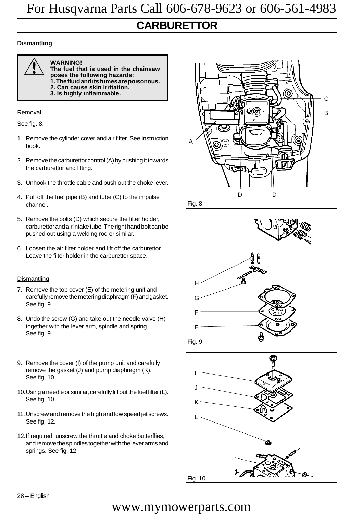### **CARBURETTOR**

#### **Dismantling**

![](_page_29_Picture_3.jpeg)

! **WARNING! The fuel that is used in the chainsaw poses the following hazards: 1. The fluid and its fumes are poisonous. 2. Can cause skin irritation.**

**3. Is highly inflammable.**

#### Removal

See fig. 8.

- 1. Remove the cylinder cover and air filter. See instruction book.
- 2. Remove the carburettor control (A) by pushing it towards the carburettor and lifting.
- 3. Unhook the throttle cable and push out the choke lever.
- 4. Pull off the fuel pipe (B) and tube (C) to the impulse channel.
- 5. Remove the bolts (D) which secure the filter holder, carburettor and air intake tube. The right hand bolt can be pushed out using a welding rod or similar.
- 6. Loosen the air filter holder and lift off the carburettor. Leave the filter holder in the carburettor space.

#### **Dismantling**

- 7. Remove the top cover (E) of the metering unit and carefully remove the metering diaphragm (F) and gasket. See fig. 9.
- 8. Undo the screw (G) and take out the needle valve (H) together with the lever arm, spindle and spring. See fig. 9.
- 9. Remove the cover (I) of the pump unit and carefully remove the gasket (J) and pump diaphragm (K). See fig. 10.
- 10.Using a needle or similar, carefully lift out the fuel filter (L). See fig. 10.
- 11.Unscrew and remove the high and low speed jet screws. See fig. 12.
- 12.If required, unscrew the throttle and choke butterflies, and remove the spindles together with the lever arms and springs. See fig. 12.

![](_page_29_Figure_22.jpeg)

![](_page_29_Figure_23.jpeg)

![](_page_29_Figure_24.jpeg)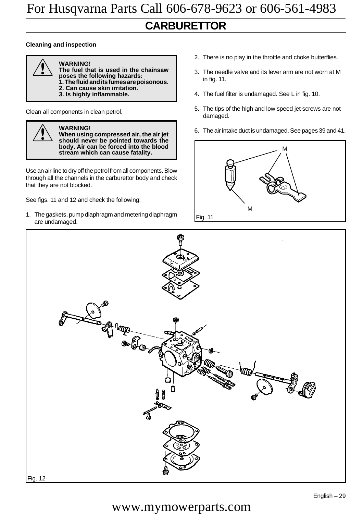### **CARBURETTOR**

#### **Cleaning and inspection**

![](_page_30_Picture_3.jpeg)

- ! **WARNING! The fuel that is used in the chainsaw poses the following hazards:**
	- **1. The fluid and its fumes are poisonous.**
	- **2. Can cause skin irritation.**
	- **3. Is highly inflammable.**

Clean all components in clean petrol.

![](_page_30_Picture_10.jpeg)

#### **WARNING!**

**When using compressed air, the air jet should never be pointed towards the body. Air can be forced into the blood stream which can cause fatality.**

Use an air line to dry off the petrol from all components. Blow through all the channels in the carburettor body and check that they are not blocked.

See figs. 11 and 12 and check the following:

1. The gaskets, pump diaphragm and metering diaphragm are undamaged.

- 2. There is no play in the throttle and choke butterflies.
- 3. The needle valve and its lever arm are not worn at M in fig. 11.
- 4. The fuel filter is undamaged. See L in fig. 10.
- 5. The tips of the high and low speed jet screws are not damaged.
- 6. The air intake duct is undamaged. See pages 39 and 41.

![](_page_30_Figure_21.jpeg)

![](_page_30_Figure_22.jpeg)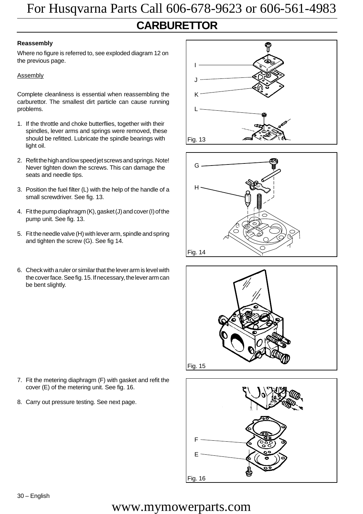### **CARBURETTOR** For Husqvarna Parts Call 606-678-9623 or 606-561-4983

#### **Reassembly**

Where no figure is referred to, see exploded diagram 12 on the previous page.

#### **Assembly**

Complete cleanliness is essential when reassembling the carburettor. The smallest dirt particle can cause running problems.

- 1. If the throttle and choke butterflies, together with their spindles, lever arms and springs were removed, these should be refitted. Lubricate the spindle bearings with light oil.
- 2. Refit the high and low speed jet screws and springs. Note! Never tighten down the screws. This can damage the seats and needle tips.
- 3. Position the fuel filter (L) with the help of the handle of a small screwdriver. See fig. 13.
- 4. Fit the pump diaphragm (K), gasket (J) and cover (I) of the pump unit. See fig. 13.
- 5. Fit the needle valve (H) with lever arm, spindle and spring and tighten the screw (G). See fig 14.
- 6. Check with a ruler or similar that the lever arm is level with the cover face. See fig. 15. If necessary, the lever arm can be bent slightly.

![](_page_31_Picture_11.jpeg)

![](_page_31_Figure_12.jpeg)

![](_page_31_Figure_13.jpeg)

7. Fit the metering diaphragm (F) with gasket and refit the cover (E) of the metering unit. See fig. 16.

8. Carry out pressure testing. See next page.

![](_page_31_Figure_16.jpeg)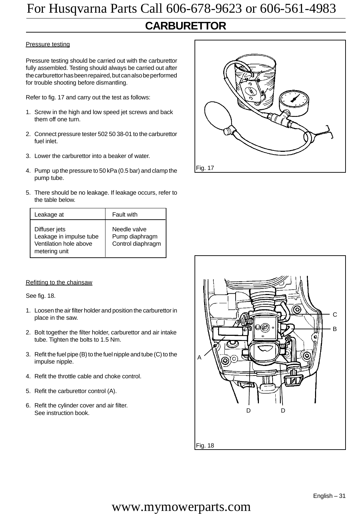### **CARBURETTOR**

#### Pressure testing

Pressure testing should be carried out with the carburettor fully assembled. Testing should always be carried out after the carburettor has been repaired, but can also be performed for trouble shooting before dismantling.

Refer to fig. 17 and carry out the test as follows:

- 1. Screw in the high and low speed jet screws and back them off one turn.
- 2. Connect pressure tester 502 50 38-01 to the carburettor fuel inlet.
- 3. Lower the carburettor into a beaker of water.
- 4. Pump up the pressure to 50 kPa (0.5 bar) and clamp the pump tube.
- 5. There should be no leakage. If leakage occurs, refer to the table below.

| Leakage at                                                                          | Fault with                                          |
|-------------------------------------------------------------------------------------|-----------------------------------------------------|
| Diffuser jets<br>Leakage in impulse tube<br>Ventilation hole above<br>metering unit | Needle valve<br>Pump diaphragm<br>Control diaphragm |

#### Refitting to the chainsaw

See fig. 18.

- 1. Loosen the air filter holder and position the carburettor in place in the saw.
- 2. Bolt together the filter holder, carburettor and air intake tube. Tighten the bolts to 1.5 Nm.
- 3. Refit the fuel pipe (B) to the fuel nipple and tube (C) to the impulse nipple.
- 4. Refit the throttle cable and choke control.
- 5. Refit the carburettor control (A).
- 6. Refit the cylinder cover and air filter. See instruction book.

![](_page_32_Figure_19.jpeg)

![](_page_32_Figure_20.jpeg)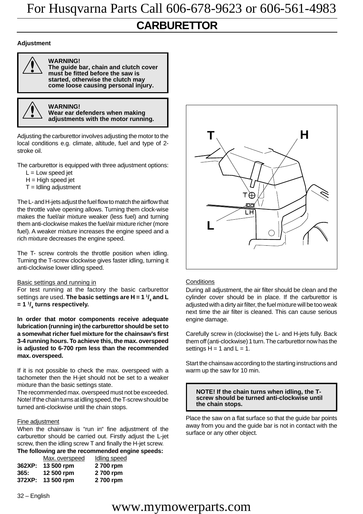### **CARBURETTOR**

#### **Adjustment**

![](_page_33_Picture_3.jpeg)

**WARNING!**

**The guide bar, chain and clutch cover must be fitted before the saw is started, otherwise the clutch may come loose causing personal injury.**

![](_page_33_Picture_6.jpeg)

**WARNING! Wear ear defenders when making** ! **adjustments with the motor running.**

Adjusting the carburettor involves adjusting the motor to the local conditions e.g. climate, altitude, fuel and type of 2 stroke oil.

The carburettor is equipped with three adjustment options:

- $L =$  Low speed jet
- $H = H$ igh speed jet
- $T =$ Idling adjustment

The L- and H-jets adjust the fuel flow to match the airflow that the throttle valve opening allows. Turning them clock-wise makes the fuel/air mixture weaker (less fuel) and turning them anti-clockwise makes the fuel/air mixture richer (more fuel). A weaker mixture increases the engine speed and a rich mixture decreases the engine speed.

The T- screw controls the throttle position when idling. Turning the T-screw clockwise gives faster idling, turning it anti-clockwise lower idling speed.

#### Basic settings and running in

For test running at the factory the basic carburettor settings are used. **The basic settings are H = 1 1/ 4 and L = 1 1/ 4 turns respectively.**

**In order that motor components receive adequate lubrication (running in) the carburettor should be set to a somewhat richer fuel mixture for the chainsaw's first 3-4 running hours. To achieve this, the max. overspeed is adjusted to 6-700 rpm less than the recommended max. overspeed.**

If it is not possible to check the max. overspeed with a tachometer then the H-jet should not be set to a weaker mixture than the basic settings state.

The recommended max. overspeed must not be exceeded. Note! If the chain turns at idling speed, the T-screw should be turned anti-clockwise until the chain stops.

#### Fine adjustment

When the chainsaw is "run in" fine adjustment of the carburettor should be carried out. Firstly adjust the L-jet screw, then the idling screw T and finally the H-jet screw. **The following are the recommended engine speeds:**

|        | Max.overspeed | <b>Idling speed</b> |
|--------|---------------|---------------------|
| 362XP: | 13 500 rpm    | 2 700 rpm           |
| 365:   | 12 500 rpm    | 2700 rpm            |
| 372XP: | 13 500 rpm    | 2 700 rpm           |

32 – English

![](_page_33_Picture_24.jpeg)

#### **Conditions**

During all adjustment, the air filter should be clean and the cylinder cover should be in place. If the carburettor is adjusted with a dirty air filter, the fuel mixture will be too weak next time the air filter is cleaned. This can cause serious engine damage.

Carefully screw in (clockwise) the L- and H-jets fully. Back them off (anti-clockwise) 1 turn. The carburettor now has the settings  $H = 1$  and  $L = 1$ .

Start the chainsaw according to the starting instructions and warm up the saw for 10 min.

**NOTE! If the chain turns when idling, the Tscrew should be turned anti-clockwise until the chain stops.**

Place the saw on a flat surface so that the guide bar points away from you and the guide bar is not in contact with the surface or any other object.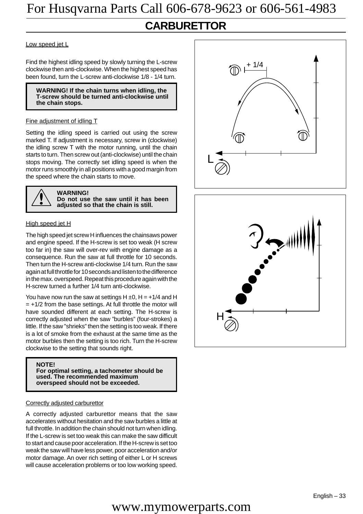### **CARBURETTOR**

Low speed jet L

Find the highest idling speed by slowly turning the L-screw clockwise then anti-clockwise. When the highest speed has been found, turn the L-screw anti-clockwise 1/8 - 1/4 turn.

#### **WARNING! If the chain turns when idling, the T-screw should be turned anti-clockwise until the chain stops.**

#### Fine adjustment of idling T

Setting the idling speed is carried out using the screw marked T. If adjustment is necessary, screw in (clockwise) the idling screw T with the motor running, until the chain starts to turn. Then screw out (anti-clockwise) until the chain stops moving. The correctly set idling speed is when the motor runs smoothly in all positions with a good margin from the speed where the chain starts to move.

![](_page_34_Picture_7.jpeg)

#### **WARNING! Do not use the saw until it has been adjusted so that the chain is still.**

#### High speed jet H

The high speed jet screw H influences the chainsaws power and engine speed. If the H-screw is set too weak (H screw too far in) the saw will over-rev with engine damage as a consequence. Run the saw at full throttle for 10 seconds. Then turn the H-screw anti-clockwise 1/4 turn. Run the saw again at full throttle for 10 seconds and listen to the difference in the max. overspeed. Repeat this procedure again with the H-screw turned a further 1/4 turn anti-clockwise.

You have now run the saw at settings  $H \pm 0$ ,  $H = +1/4$  and H  $= +1/2$  from the base settings. At full throttle the motor will have sounded different at each setting. The H-screw is correctly adjusted when the saw "burbles" (four-strokes) a little. If the saw "shrieks" then the setting is too weak. If there is a lot of smoke from the exhaust at the same time as the motor burbles then the setting is too rich. Turn the H-screw clockwise to the setting that sounds right.

#### **NOTE!**

**For optimal setting, a tachometer should be used. The recommended maximum overspeed should not be exceeded.**

#### Correctly adjusted carburettor

A correctly adjusted carburettor means that the saw accelerates without hesitation and the saw burbles a little at full throttle. In addition the chain should not turn when idling. If the L-screw is set too weak this can make the saw difficult to start and cause poor acceleration. If the H-screw is set too weak the saw will have less power, poor acceleration and/or motor damage. An over rich setting of either L or H screws will cause acceleration problems or too low working speed.

![](_page_34_Figure_16.jpeg)

![](_page_34_Figure_17.jpeg)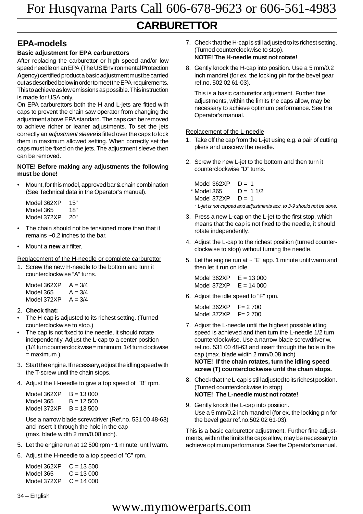#### **Basic adjustment for EPA carburettors**

After replacing the carburettor or high speed and/or low speed needle on an EPA (The US **E**nvironmental **P**rotection **A**gency) certified product a basic adjustment must be carried out as described below in order to meet the EPA-requirements. This to achieve as low emissions as possible. This instruction is made for USA only.

On EPA carburettors both the H and L-jets are fitted with caps to prevent the chain saw operator from changing the adjustment above EPA standard. The caps can be removed to achieve richer or leaner adjustments. To set the jets correctly an adjustment sleeve is fitted over the caps to lock them in maximum allowed setting. When correctly set the caps must be fixed on the jets. The adjustment sleeve then can be removed.

#### **NOTE! Before making any adjustments the following must be done!**

• Mount, for this model, approved bar & chain combination (See Technical data in the Operator's manual).

| Model 362XP | 15" |
|-------------|-----|
| Model 365   | 18" |
| Model 372XP | 20" |

- The chain should not be tensioned more than that it remains ~0,2 inches to the bar.
- Mount a **new** air filter.

Replacement of the H-needle or complete carburettor

1. Screw the new H-needle to the bottom and turn it counterclockwise "A" turns.

| Model 362XP | $A = 3/4$ |
|-------------|-----------|
| Model 365   | $A = 3/4$ |
| Model 372XP | $A = 3/4$ |

- 2. **Check that:**
- The H-cap is adjusted to its richest setting. (Turned counterclockwise to stop.)
- The cap is not fixed to the needle, it should rotate independently. Adjust the L-cap to a center position (1/4 turn counterclockwise = minimum, 1/4 turn clockwise  $=$  maximum  $).$
- 3. Start the engine. If necessary, adjust the idling speed with the T-screw until the chain stops.
- 4. Adjust the H-needle to give a top speed of "B" rpm.

| Model 362XP | $B = 13,000$ |
|-------------|--------------|
| Model 365   | $B = 12,500$ |
| Model 372XP | $B = 13,500$ |

Use a narrow blade screwdriver (Ref.no. 531 00 48-63) and insert it through the hole in the cap (max. blade width 2 mm/0.08 inch).

- 5. Let the engine run at 12 500 rpm ~1 minute, until warm.
- 6. Adjust the H-needle to a top speed of "C" rpm.

Model  $362XP$   $C = 13500$ Model  $365$   $C = 13000$ Model  $372XP$   $C = 14000$ 

34 – English

#### **EPA-models** 7. Check that the H-cap is still adjusted to its richest setting. (Turned counterclockwise to stop). **NOTE! The H-needle must not rotate!**

8. Gently knock the H-cap into position. Use a 5 mm/0.2 inch mandrel (for ex. the locking pin for the bevel gear ref.no. 502 02 61-03).

This is a basic carburettor adjustment. Further fine adjustments, within the limits the caps allow, may be necessary to achieve optimum performance. See the Operator's manual.

#### Replacement of the L-needle

- 1. Take off the cap from the L-jet using e.g. a pair of cutting pliers and unscrew the needle.
- 2. Screw the new L-jet to the bottom and then turn it counterclockwise "D" turns.

Model  $362XP$  D = 1  $*$  Model 365  $D = 11/2$ Model  $372XP$  D = 1 \* L-jet is not capped and adjustments acc. to 3-9 should not be done.

- 3. Press a new L-cap on the L-jet to the first stop, which means that the cap is not fixed to the needle, it should rotate independently.
- 4. Adjust the L-cap to the richest position (turned counterclockwise to stop) without turning the needle.
- 5. Let the engine run at  $\sim$  "E" app. 1 minute until warm and then let it run on idle.

Model  $362XP$   $E = 13,000$ Model  $372XP$   $E = 14000$ 

6. Adjust the idle speed to "F" rpm.

Model 362XP F= 2 700<br>Model 372XP F= 2 700 Model 372XP

- 7. Adjust the L-needle until the highest possible idling speed is achieved and then turn the L-needle 1/2 turn counterclockwise. Use a narrow blade screwdriver w. ref.no. 531 00 48-63 and insert through the hole in the cap (max. blade width 2 mm/0.08 inch) **NOTE! If the chain rotates, turn the idling speed screw (T) counterclockwise until the chain stops.**
- 8. Check that the L-cap is still adjusted to its richest position. (Turned counterclockwise to stop) **NOTE! The L-needle must not rotate!**
- 9. Gently knock the L-cap into position. Use a 5 mm/0.2 inch mandrel (for ex. the locking pin for the bevel gear ref.no.502 02 61-03).

This is a basic carburettor adjustment. Further fine adjustments, within the limits the caps allow, may be necessary to achieve optimum performance. See the Operator's manual.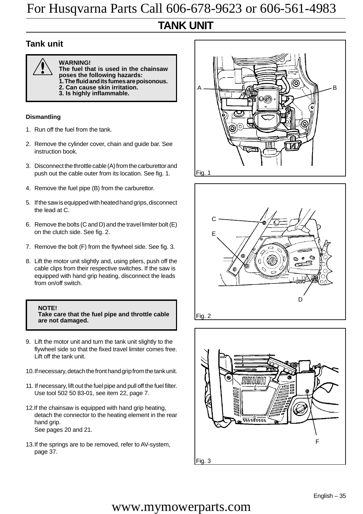### **TANK UNIT**

#### **Tank unit**

![](_page_36_Picture_3.jpeg)

! **WARNING! The fuel that is used in the chainsaw poses the following hazards: 1. The fluid and its fumes are poisonous. 2. Can cause skin irritation.**

**3. Is highly inflammable.**

#### **Dismantling**

- 1. Run off the fuel from the tank.
- 2. Remove the cylinder cover, chain and guide bar. See instruction book.
- 3. Disconnect the throttle cable (A) from the carburettor and push out the cable outer from its location. See fig. 1.
- 4. Remove the fuel pipe (B) from the carburettor.
- 5. If the saw is equipped with heated hand grips, disconnect the lead at C.
- 6. Remove the bolts (C and D) and the travel limiter bolt (E) on the clutch side. See fig. 2.
- 7. Remove the bolt (F) from the flywheel side. See fig. 3.
- 8. Lift the motor unit slightly and, using pliers, push off the cable clips from their respective switches. If the saw is equipped with hand grip heating, disconnect the leads from on/off switch.

#### **NOTE!**

**Take care that the fuel pipe and throttle cable are not damaged.**

- 9. Lift the motor unit and turn the tank unit slightly to the flywheel side so that the fixed travel limiter comes free. Lift off the tank unit.
- 10.If necessary, detach the front hand grip from the tank unit.
- 11. If necessary, lift out the fuel pipe and pull off the fuel filter. Use tool 502 50 83-01, see item 22, page 7.
- 12.If the chainsaw is equipped with hand grip heating, detach the connector to the heating element in the rear hand grip. See pages 20 and 21.
- 13.If the springs are to be removed, refer to AV-system, page 37.

![](_page_36_Picture_23.jpeg)

![](_page_36_Figure_24.jpeg)

![](_page_36_Figure_25.jpeg)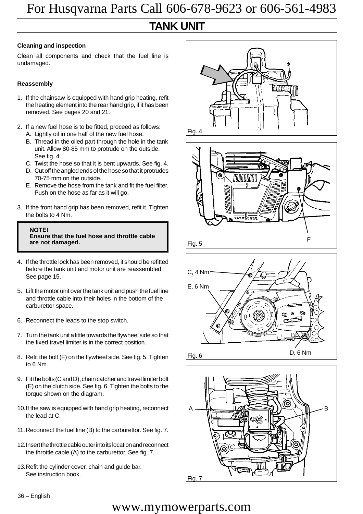### **TANK UNIT**

#### **Cleaning and inspection**

Clean all components and check that the fuel line is undamaged.

#### **Reassembly**

- 1. If the chainsaw is equipped with hand grip heating, refit the heating element into the rear hand grip, if it has been removed. See pages 20 and 21.
- 2. If a new fuel hose is to be fitted, proceed as follows: A. Lightly oil in one half of the new fuel hose.
	- B. Thread in the oiled part through the hole in the tank unit. Allow 80-85 mm to protrude on the outside. See fig. 4.
	- C. Twist the hose so that it is bent upwards. See fig. 4.
	- D. Cut off the angled ends of the hose so that it protrudes 70-75 mm on the outside.
	- E. Remove the hose from the tank and fit the fuel filter. Push on the hose as far as it will go.
- 3. If the front hand grip has been removed, refit it. Tighten the bolts to 4 Nm.

![](_page_37_Picture_12.jpeg)

- 4. If the throttle lock has been removed, it should be refitted before the tank unit and motor unit are reassembled. See page 15.
- 5. Lift the motor unit over the tank unit and push the fuel line and throttle cable into their holes in the bottom of the carburettor space.
- 6. Reconnect the leads to the stop switch.
- 7. Turn the tank unit a little towards the flywheel side so that the fixed travel limiter is in the correct position.
- 8. Refit the bolt (F) on the flywheel side. See fig. 5. Tighten to 6 Nm.
- 9. Fit the bolts (C and D), chain catcher and travel limiter bolt (E) on the clutch side. See fig. 6. Tighten the bolts to the torque shown on the diagram.
- 10.If the saw is equipped with hand grip heating, reconnect the lead at C.
- 11.Reconnect the fuel line (B) to the carburettor. See fig. 7.
- 12.Insert the throttle cable outer into its location and reconnect the throttle cable (A) to the carburettor. See fig. 7.
- 13.Refit the cylinder cover, chain and guide bar. See instruction book.

![](_page_37_Picture_23.jpeg)

![](_page_37_Picture_24.jpeg)

![](_page_37_Figure_25.jpeg)

![](_page_37_Figure_26.jpeg)

36 – English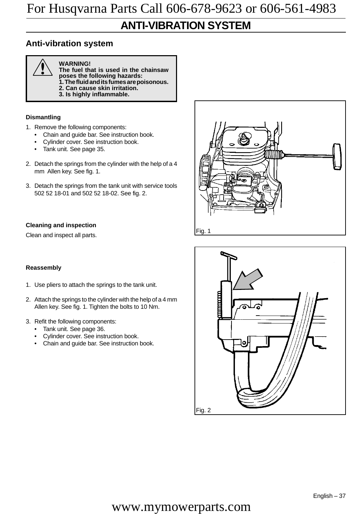### **ANTI-VIBRATION SYSTEM**

#### **Anti-vibration system**

![](_page_38_Picture_3.jpeg)

! **WARNING! The fuel that is used in the chainsaw poses the following hazards: 1. The fluid and its fumes are poisonous. 2. Can cause skin irritation.**

**3. Is highly inflammable.**

#### **Dismantling**

- 1. Remove the following components:
	- Chain and guide bar. See instruction book.
	- Cylinder cover. See instruction book.
	- Tank unit. See page 35.
- 2. Detach the springs from the cylinder with the help of a 4 mm Allen key. See fig. 1.
- 3. Detach the springs from the tank unit with service tools 502 52 18-01 and 502 52 18-02. See fig. 2.

#### **Cleaning and inspection**

Clean and inspect all parts.

#### **Reassembly**

- 1. Use pliers to attach the springs to the tank unit.
- 2. Attach the springs to the cylinder with the help of a 4 mm Allen key. See fig. 1. Tighten the bolts to 10 Nm.
- 3. Refit the following components:
	- Tank unit. See page 36.
	- Cylinder cover. See instruction book.
	- Chain and guide bar. See instruction book.

![](_page_38_Picture_23.jpeg)

![](_page_38_Figure_24.jpeg)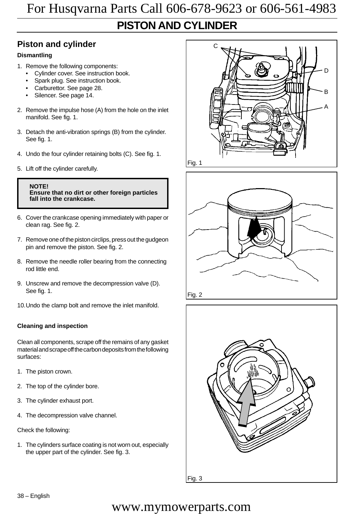### **PISTON AND CYLINDER**

### **Piston and cylinder**

#### **Dismantling**

- 1. Remove the following components:
	- Cylinder cover. See instruction book.
	- Spark plug. See instruction book.
	- Carburettor. See page 28.
	- Silencer. See page 14.
- 2. Remove the impulse hose (A) from the hole on the inlet manifold. See fig. 1.
- 3. Detach the anti-vibration springs (B) from the cylinder. See fig. 1.
- 4. Undo the four cylinder retaining bolts (C). See fig. 1.
- 5. Lift off the cylinder carefully.

**NOTE! Ensure that no dirt or other foreign particles fall into the crankcase.**

- 6. Cover the crankcase opening immediately with paper or clean rag. See fig. 2.
- 7. Remove one of the piston circlips, press out the gudgeon pin and remove the piston. See fig. 2.
- 8. Remove the needle roller bearing from the connecting rod little end.
- 9. Unscrew and remove the decompression valve (D). See fig. 1.
- 10.Undo the clamp bolt and remove the inlet manifold.

#### **Cleaning and inspection**

Clean all components, scrape off the remains of any gasket material and scrape off the carbon deposits from the following surfaces:

- 1. The piston crown.
- 2. The top of the cylinder bore.
- 3. The cylinder exhaust port.
- 4. The decompression valve channel.

Check the following:

1. The cylinders surface coating is not worn out, especially the upper part of the cylinder. See fig. 3.

![](_page_39_Picture_27.jpeg)

![](_page_39_Figure_28.jpeg)

![](_page_39_Picture_29.jpeg)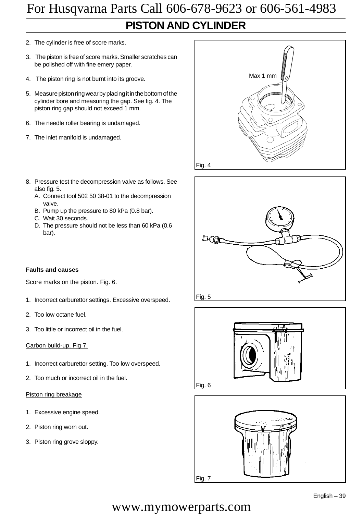### **PISTON AND CYLINDER** For Husqvarna Parts Call 606-678-9623 or 606-561-4983

- 2. The cylinder is free of score marks.
- 3. The piston is free of score marks. Smaller scratches can be polished off with fine emery paper.
- 4. The piston ring is not burnt into its groove.
- 5. Measure piston ring wear by placing it in the bottom of the cylinder bore and measuring the gap. See fig. 4. The piston ring gap should not exceed 1 mm.
- 6. The needle roller bearing is undamaged.
- 7. The inlet manifold is undamaged.
- 8. Pressure test the decompression valve as follows. See also fig. 5.
	- A. Connect tool 502 50 38-01 to the decompression valve.
	- B. Pump up the pressure to 80 kPa (0.8 bar).
	- C. Wait 30 seconds.
	- D. The pressure should not be less than 60 kPa (0.6 bar).

#### **Faults and causes**

#### Score marks on the piston. Fig. 6.

- 1. Incorrect carburettor settings. Excessive overspeed.
- 2. Too low octane fuel.
- 3. Too little or incorrect oil in the fuel.

#### Carbon build-up. Fig 7.

- 1. Incorrect carburettor setting. Too low overspeed.
- 2. Too much or incorrect oil in the fuel.

#### Piston ring breakage

- 1. Excessive engine speed.
- 2. Piston ring worn out.
- 3. Piston ring grove sloppy.

![](_page_40_Figure_24.jpeg)

![](_page_40_Picture_25.jpeg)

![](_page_40_Picture_26.jpeg)

![](_page_40_Picture_27.jpeg)

![](_page_40_Picture_28.jpeg)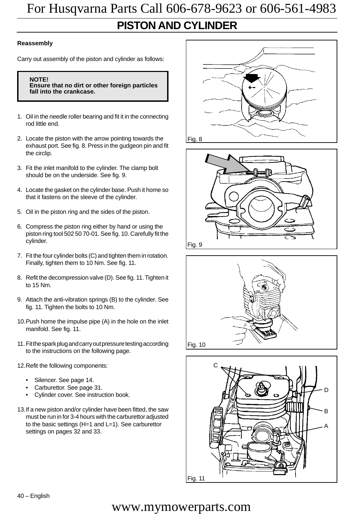### **PISTON AND CYLINDER** For Husqvarna Parts Call 606-678-9623 or 606-561-4983

#### **Reassembly**

Carry out assembly of the piston and cylinder as follows:

#### **NOTE!**

**Ensure that no dirt or other foreign particles fall into the crankcase.**

- 1. Oil in the needle roller bearing and fit it in the connecting rod little end.
- 2. Locate the piston with the arrow pointing towards the exhaust port. See fig. 8. Press in the gudgeon pin and fit the circlip.
- 3. Fit the inlet manifold to the cylinder. The clamp bolt should be on the underside. See fig. 9.
- 4. Locate the gasket on the cylinder base. Push it home so that it fastens on the sleeve of the cylinder.
- 5. Oil in the piston ring and the sides of the piston.
- 6. Compress the piston ring either by hand or using the piston ring tool 502 50 70-01. See fig. 10. Carefully fit the cylinder.
- 7. Fit the four cylinder bolts (C) and tighten them in rotation. Finally, tighten them to 10 Nm. See fig. 11.
- 8. Refit the decompression valve (D). See fig. 11. Tighten it to 15 Nm.
- 9. Attach the anti-vibration springs (B) to the cylinder. See fig. 11. Tighten the bolts to 10 Nm.
- 10.Push home the impulse pipe (A) in the hole on the inlet manifold. See fig. 11.
- 11.Fit the spark plug and carry out pressure testing according to the instructions on the following page.
- 12.Refit the following components:
	- Silencer. See page 14.
	- Carburettor. See page 31.
	- Cylinder cover. See instruction book.
- 13.If a new piston and/or cylinder have been fitted, the saw must be run in for 3-4 hours with the carburettor adjusted to the basic settings (H=1 and L=1). See carburettor settings on pages 32 and 33.

![](_page_41_Figure_21.jpeg)

![](_page_41_Figure_22.jpeg)

![](_page_41_Figure_23.jpeg)

![](_page_41_Figure_24.jpeg)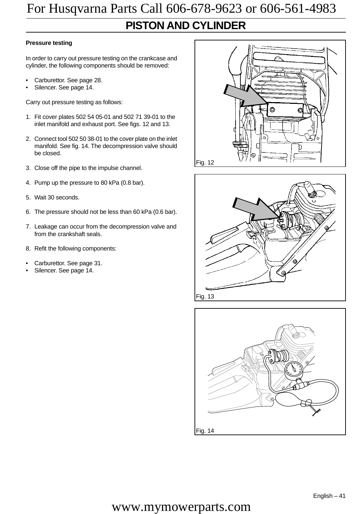### **PISTON AND CYLINDER**

#### **Pressure testing**

In order to carry out pressure testing on the crankcase and cylinder, the following components should be removed:

- Carburettor. See page 28.
- Silencer. See page 14.

Carry out pressure testing as follows:

- 1. Fit cover plates 502 54 05-01 and 502 71 39-01 to the inlet manifold and exhaust port. See figs. 12 and 13.
- 2. Connect tool 502 50 38-01 to the cover plate on the inlet manifold. See fig. 14. The decompression valve should be closed.
- 3. Close off the pipe to the impulse channel.
- 4. Pump up the pressure to 80 kPa (0.8 bar).
- 5. Wait 30 seconds.
- 6. The pressure should not be less than 60 kPa (0.6 bar).
- 7. Leakage can occur from the decompression valve and from the crankshaft seals.
- 8. Refit the following components:
- Carburettor. See page 31.
- Silencer. See page 14.

![](_page_42_Figure_17.jpeg)

![](_page_42_Figure_18.jpeg)

![](_page_42_Figure_19.jpeg)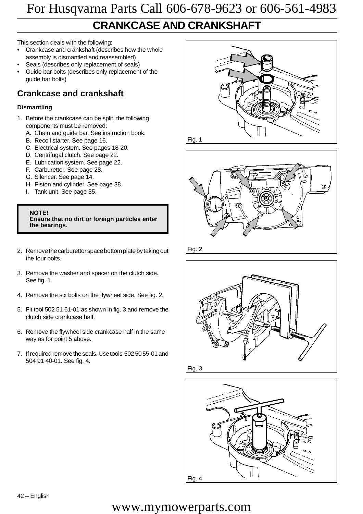### **CRANKCASE AND CRANKSHAFT**

This section deals with the following:

- Crankcase and crankshaft (describes how the whole assembly is dismantled and reassembled)
- Seals (describes only replacement of seals)
- Guide bar bolts (describes only replacement of the guide bar bolts)

### **Crankcase and crankshaft**

#### **Dismantling**

- 1. Before the crankcase can be split, the following components must be removed:
	- A. Chain and guide bar. See instruction book.
	- B. Recoil starter. See page 16.
	- C. Electrical system. See pages 18-20.
	- D. Centrifugal clutch. See page 22.
	- E. Lubrication system. See page 22.
	- F. Carburettor. See page 28.
	- G. Silencer. See page 14.
	- H. Piston and cylinder. See page 38.
	- I. Tank unit. See page 35.

**NOTE! Ensure that no dirt or foreign particles enter the bearings.**

- 2. Remove the carburettor space bottom plate by taking out the four bolts.
- 3. Remove the washer and spacer on the clutch side. See fig. 1.
- 4. Remove the six bolts on the flywheel side. See fig. 2.
- 5. Fit tool 502 51 61-01 as shown in fig. 3 and remove the clutch side crankcase half.
- 6. Remove the flywheel side crankcase half in the same way as for point 5 above.
- 7. If required remove the seals. Use tools 502 50 55-01 and 504 91 40-01. See fig. 4.

![](_page_43_Picture_25.jpeg)

![](_page_43_Picture_26.jpeg)

![](_page_43_Figure_27.jpeg)

Fig. 3

![](_page_43_Picture_29.jpeg)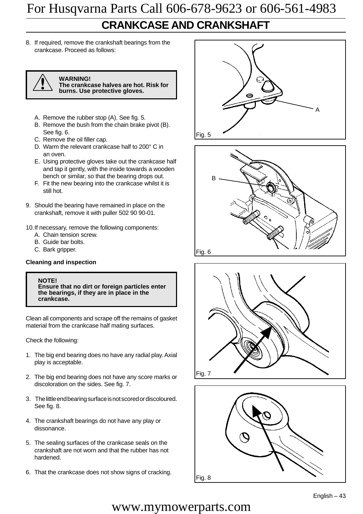### **CRANKCASE AND CRANKSHAFT**

8. If required, remove the crankshaft bearings from the crankcase. Proceed as follows:

![](_page_44_Picture_3.jpeg)

! **WARNING! The crankcase halves are hot. Risk for**

**burns. Use protective gloves.**

- A. Remove the rubber stop (A). See fig. 5.
- B. Remove the bush from the chain brake pivot (B). See fig. 6.
- C. Remove the oil filler cap.
- D. Warm the relevant crankcase half to 200° C in an oven.
- E. Using protective gloves take out the crankcase half and tap it gently, with the inside towards a wooden bench or similar, so that the bearing drops out.
- F. Fit the new bearing into the crankcase whilst it is still hot.
- 9. Should the bearing have remained in place on the crankshaft, remove it with puller 502 90 90-01.

10.If necessary, remove the following components:

- A. Chain tension screw.
- B. Guide bar bolts.
- C. Bark gripper.

#### **Cleaning and inspection**

#### **NOTE!**

**Ensure that no dirt or foreign particles enter the bearings, if they are in place in the crankcase.**

Clean all components and scrape off the remains of gasket material from the crankcase half mating surfaces.

Check the following:

- 1. The big end bearing does no have any radial play. Axial play is acceptable.
- 2. The big end bearing does not have any score marks or discoloration on the sides. See fig. 7.
- 3. The little end bearing surface is not scored or discoloured. See fig. 8.
- 4. The crankshaft bearings do not have any play or dissonance.
- 5. The sealing surfaces of the crankcase seals on the crankshaft are not worn and that the rubber has not hardened.
- 6. That the crankcase does not show signs of cracking. Fig. 8

![](_page_44_Picture_28.jpeg)

![](_page_44_Figure_29.jpeg)

![](_page_44_Figure_30.jpeg)

![](_page_44_Picture_31.jpeg)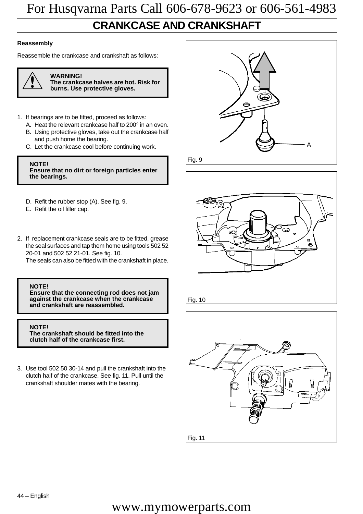### **CRANKCASE AND CRANKSHAFT**

#### **Reassembly**

Reassemble the crankcase and crankshaft as follows:

![](_page_45_Picture_4.jpeg)

**WARNING! The crankcase halves are hot. Risk for**

**burns. Use protective gloves.**

- 1. If bearings are to be fitted, proceed as follows:
	- A. Heat the relevant crankcase half to 200° in an oven. B. Using protective gloves, take out the crankcase half
	- and push home the bearing. C. Let the crankcase cool before continuing work.

**NOTE! Ensure that no dirt or foreign particles enter the bearings.**

- D. Refit the rubber stop (A). See fig. 9.
- E. Refit the oil filler cap.
- 2. If replacement crankcase seals are to be fitted, grease the seal surfaces and tap them home using tools 502 52 20-01 and 502 52 21-01. See fig. 10.

The seals can also be fitted with the crankshaft in place.

#### **NOTE!**

**Ensure that the connecting rod does not jam against the crankcase when the crankcase and crankshaft are reassembled.**

**NOTE! The crankshaft should be fitted into the clutch half of the crankcase first.**

3. Use tool 502 50 30-14 and pull the crankshaft into the clutch half of the crankcase. See fig. 11. Pull until the crankshaft shoulder mates with the bearing.

![](_page_45_Picture_19.jpeg)

![](_page_45_Figure_20.jpeg)

![](_page_45_Picture_21.jpeg)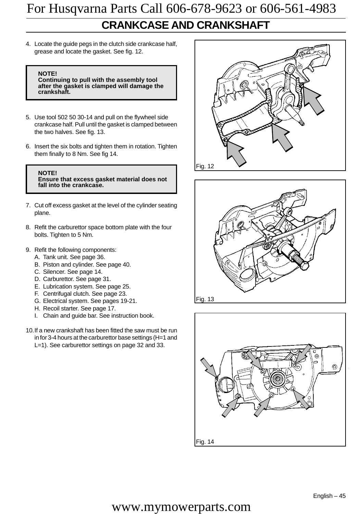### **CRANKCASE AND CRANKSHAFT** For Husqvarna Parts Call 606-678-9623 or 606-561-4983

4. Locate the guide pegs in the clutch side crankcase half, grease and locate the gasket. See fig. 12.

#### **NOTE!**

**Continuing to pull with the assembly tool after the gasket is clamped will damage the crankshaft.**

- 5. Use tool 502 50 30-14 and pull on the flywheel side crankcase half. Pull until the gasket is clamped between the two halves. See fig. 13.
- 6. Insert the six bolts and tighten them in rotation. Tighten them finally to 8 Nm. See fig 14.

**NOTE! Ensure that excess gasket material does not fall into the crankcase.**

- 7. Cut off excess gasket at the level of the cylinder seating plane.
- 8. Refit the carburettor space bottom plate with the four bolts. Tighten to 5 Nm.
- 9. Refit the following components:
	- A. Tank unit. See page 36.
	- B. Piston and cylinder. See page 40.
	- C. Silencer. See page 14.
	- D. Carburettor. See page 31.
	- E. Lubrication system. See page 25.
	- F. Centrifugal clutch. See page 23.
	- G. Electrical system. See pages 19-21.
	- H. Recoil starter. See page 17.
	- I. Chain and guide bar. See instruction book.
- 10.If a new crankshaft has been fitted the saw must be run in for 3-4 hours at the carburettor base settings (H=1 and L=1). See carburettor settings on page 32 and 33.

![](_page_46_Figure_20.jpeg)

![](_page_46_Figure_21.jpeg)

![](_page_46_Figure_22.jpeg)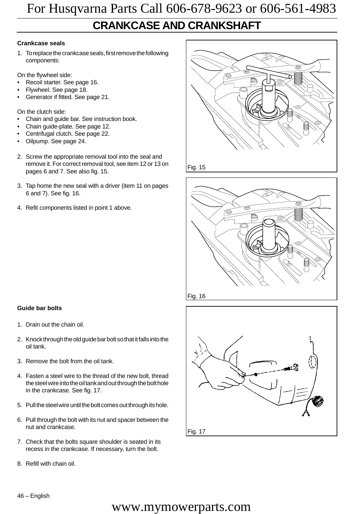### **CRANKCASE AND CRANKSHAFT**

#### **Crankcase seals**

1. To replace the crankcase seals, first remove the following components:

On the flywheel side:

- Recoil starter. See page 16.
- Flywheel. See page 18.
- Generator if fitted. See page 21.

On the clutch side:

- Chain and guide bar. See instruction book.
- Chain guide-plate. See page 12.
- Centrifugal clutch. See page 22.
- Oilpump. See page 24.
- 2. Screw the appropriate removal tool into the seal and remove it. For correct removal tool, see item 12 or 13 on pages 6 and 7. See also fig. 15.
- 3. Tap home the new seal with a driver (item 11 on pages 6 and 7). See fig. 16.
- 4. Refit components listed in point 1 above.

![](_page_47_Figure_16.jpeg)

Fig. 15

![](_page_47_Figure_18.jpeg)

![](_page_47_Figure_19.jpeg)

- 1. Drain out the chain oil.
- 2. Knock through the old guide bar bolt so that it falls into the oil tank.
- 3. Remove the bolt from the oil tank.
- 4. Fasten a steel wire to the thread of the new bolt, thread the steel wire into the oil tank and out through the bolt hole in the crankcase. See fig. 17.
- 5. Pull the steel wire until the bolt comes out through its hole.
- 6. Pull through the bolt with its nut and spacer between the nut and crankcase.
- 7. Check that the bolts square shoulder is seated in its recess in the crankcase. If necessary, turn the bolt.
- 8. Refill with chain oil.

![](_page_47_Figure_28.jpeg)